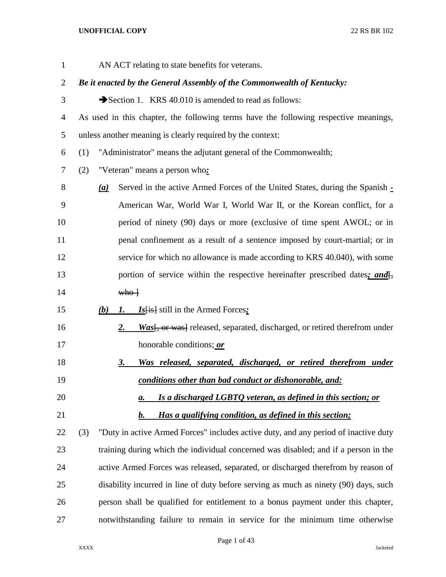| $\mathbf{1}$ | AN ACT relating to state benefits for veterans.                                                           |
|--------------|-----------------------------------------------------------------------------------------------------------|
| 2            | Be it enacted by the General Assembly of the Commonwealth of Kentucky:                                    |
| 3            | Section 1. KRS 40.010 is amended to read as follows:                                                      |
| 4            | As used in this chapter, the following terms have the following respective meanings,                      |
| 5            | unless another meaning is clearly required by the context:                                                |
| 6            | "Administrator" means the adjutant general of the Commonwealth;<br>(1)                                    |
| 7            | "Veteran" means a person who.<br>(2)                                                                      |
| 8            | Served in the active Armed Forces of the United States, during the Spanish -<br>$\left(\mathbf{a}\right)$ |
| 9            | American War, World War I, World War II, or the Korean conflict, for a                                    |
| 10           | period of ninety (90) days or more (exclusive of time spent AWOL; or in                                   |
| 11           | penal confinement as a result of a sentence imposed by court-martial; or in                               |
| 12           | service for which no allowance is made according to KRS 40.040), with some                                |
| 13           | portion of service within the respective hereinafter prescribed dates; and <sup>-1</sup> ,                |
| 14           | who                                                                                                       |
| 15           | $Is[i s]$ still in the Armed Forces:<br>(b)<br>$\mathbf{I}$ .                                             |
| 16           | Was <sup>[, or was]</sup> released, separated, discharged, or retired therefrom under<br><u>2.</u>        |
| 17           | honorable conditions; or                                                                                  |
| 18           | Was released, separated, discharged, or retired therefrom under<br><u>3.</u>                              |
| 19           | conditions other than bad conduct or dishonorable, and:                                                   |
| 20           | Is a discharged LGBTO veteran, as defined in this section; or<br>а.                                       |
| 21           | Has a qualifying condition, as defined in this section;<br>$\mathbf{b}$ .                                 |
| 22           | "Duty in active Armed Forces" includes active duty, and any period of inactive duty<br>(3)                |
| 23           | training during which the individual concerned was disabled; and if a person in the                       |
| 24           | active Armed Forces was released, separated, or discharged therefrom by reason of                         |
| 25           | disability incurred in line of duty before serving as much as ninety (90) days, such                      |
| 26           | person shall be qualified for entitlement to a bonus payment under this chapter,                          |
| 27           | notwithstanding failure to remain in service for the minimum time otherwise                               |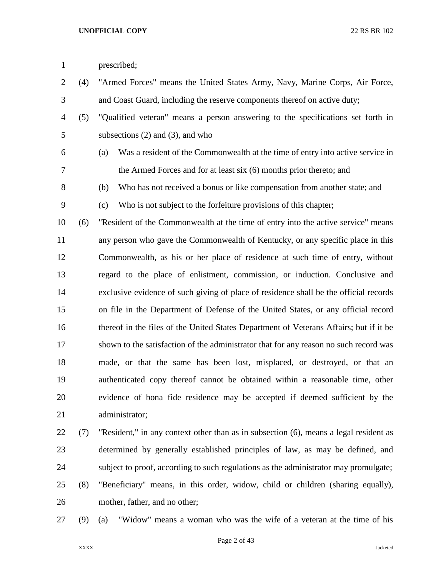| $\mathbf{1}$   |     | prescribed;                                                                            |
|----------------|-----|----------------------------------------------------------------------------------------|
| $\overline{2}$ | (4) | "Armed Forces" means the United States Army, Navy, Marine Corps, Air Force,            |
| 3              |     | and Coast Guard, including the reserve components thereof on active duty;              |
| $\overline{4}$ | (5) | "Qualified veteran" means a person answering to the specifications set forth in        |
| 5              |     | subsections $(2)$ and $(3)$ , and who                                                  |
| 6              |     | Was a resident of the Commonwealth at the time of entry into active service in<br>(a)  |
| 7              |     | the Armed Forces and for at least six (6) months prior thereto; and                    |
| $8\,$          |     | Who has not received a bonus or like compensation from another state; and<br>(b)       |
| 9              |     | Who is not subject to the forfeiture provisions of this chapter;<br>(c)                |
| 10             | (6) | "Resident of the Commonwealth at the time of entry into the active service" means      |
| 11             |     | any person who gave the Commonwealth of Kentucky, or any specific place in this        |
| 12             |     | Commonwealth, as his or her place of residence at such time of entry, without          |
| 13             |     | regard to the place of enlistment, commission, or induction. Conclusive and            |
| 14             |     | exclusive evidence of such giving of place of residence shall be the official records  |
| 15             |     | on file in the Department of Defense of the United States, or any official record      |
| 16             |     | thereof in the files of the United States Department of Veterans Affairs; but if it be |
| 17             |     | shown to the satisfaction of the administrator that for any reason no such record was  |
| 18             |     | made, or that the same has been lost, misplaced, or destroyed, or that an              |
| 19             |     | authenticated copy thereof cannot be obtained within a reasonable time, other          |
| 20             |     | evidence of bona fide residence may be accepted if deemed sufficient by the            |
| 21             |     | administrator;                                                                         |
| 22             | (7) | "Resident," in any context other than as in subsection (6), means a legal resident as  |
| 23             |     | determined by generally established principles of law, as may be defined, and          |
| 24             |     | subject to proof, according to such regulations as the administrator may promulgate;   |

- (8) "Beneficiary" means, in this order, widow, child or children (sharing equally), mother, father, and no other;
- 

(9) (a) "Widow" means a woman who was the wife of a veteran at the time of his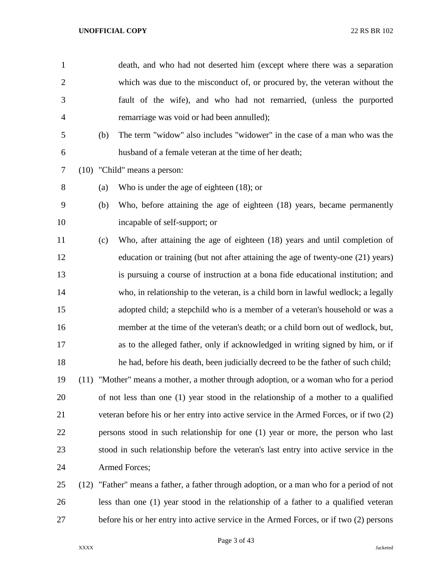| $\mathbf{1}$   |      |     | death, and who had not deserted him (except where there was a separation               |
|----------------|------|-----|----------------------------------------------------------------------------------------|
| $\overline{2}$ |      |     | which was due to the misconduct of, or procured by, the veteran without the            |
| 3              |      |     | fault of the wife), and who had not remarried, (unless the purported                   |
| $\overline{4}$ |      |     | remarriage was void or had been annulled);                                             |
| 5              |      | (b) | The term "widow" also includes "widower" in the case of a man who was the              |
| 6              |      |     | husband of a female veteran at the time of her death;                                  |
| 7              |      |     | (10) "Child" means a person:                                                           |
| 8              |      | (a) | Who is under the age of eighteen $(18)$ ; or                                           |
| 9              |      | (b) | Who, before attaining the age of eighteen (18) years, became permanently               |
| 10             |      |     | incapable of self-support; or                                                          |
| 11             |      | (c) | Who, after attaining the age of eighteen (18) years and until completion of            |
| 12             |      |     | education or training (but not after attaining the age of twenty-one (21) years)       |
| 13             |      |     | is pursuing a course of instruction at a bona fide educational institution; and        |
| 14             |      |     | who, in relationship to the veteran, is a child born in lawful wedlock; a legally      |
| 15             |      |     | adopted child; a stepchild who is a member of a veteran's household or was a           |
| 16             |      |     | member at the time of the veteran's death; or a child born out of wedlock, but,        |
| 17             |      |     | as to the alleged father, only if acknowledged in writing signed by him, or if         |
| 18             |      |     | he had, before his death, been judicially decreed to be the father of such child;      |
| 19             |      |     | (11) "Mother" means a mother, a mother through adoption, or a woman who for a period   |
| 20             |      |     | of not less than one (1) year stood in the relationship of a mother to a qualified     |
| 21             |      |     | veteran before his or her entry into active service in the Armed Forces, or if two (2) |
| 22             |      |     | persons stood in such relationship for one (1) year or more, the person who last       |
| 23             |      |     | stood in such relationship before the veteran's last entry into active service in the  |
| 24             |      |     | Armed Forces;                                                                          |
| 25             | (12) |     | "Father" means a father, a father through adoption, or a man who for a period of not   |
| 26             |      |     | less than one (1) year stood in the relationship of a father to a qualified veteran    |
|                |      |     |                                                                                        |

before his or her entry into active service in the Armed Forces, or if two (2) persons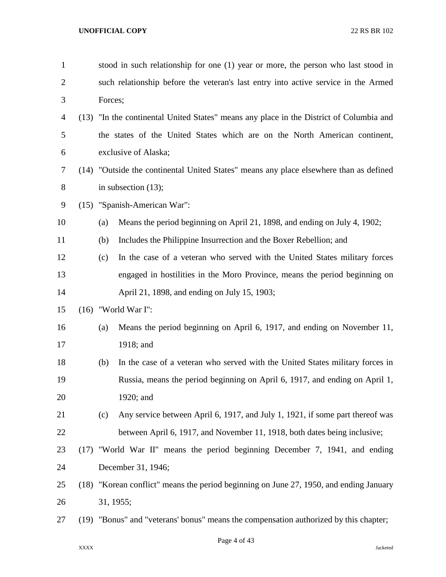| $\mathbf{1}$ |      | stood in such relationship for one (1) year or more, the person who last stood in       |
|--------------|------|-----------------------------------------------------------------------------------------|
| 2            |      | such relationship before the veteran's last entry into active service in the Armed      |
| 3            |      | Forces;                                                                                 |
| 4            |      | (13) "In the continental United States" means any place in the District of Columbia and |
| 5            |      | the states of the United States which are on the North American continent,              |
| 6            |      | exclusive of Alaska;                                                                    |
| 7            |      | (14) "Outside the continental United States" means any place elsewhere than as defined  |
| 8            |      | in subsection $(13)$ ;                                                                  |
| 9            |      | (15) "Spanish-American War":                                                            |
| 10           |      | Means the period beginning on April 21, 1898, and ending on July 4, 1902;<br>(a)        |
| 11           |      | Includes the Philippine Insurrection and the Boxer Rebellion; and<br>(b)                |
| 12           |      | In the case of a veteran who served with the United States military forces<br>(c)       |
| 13           |      | engaged in hostilities in the Moro Province, means the period beginning on              |
| 14           |      | April 21, 1898, and ending on July 15, 1903;                                            |
| 15           |      | $(16)$ "World War I":                                                                   |
| 16           |      | Means the period beginning on April 6, 1917, and ending on November 11,<br>(a)          |
| 17           |      | 1918; and                                                                               |
| 18           |      | In the case of a veteran who served with the United States military forces in<br>(b)    |
| 19           |      | Russia, means the period beginning on April 6, 1917, and ending on April 1,             |
| 20           |      | 1920; and                                                                               |
| 21           |      | Any service between April 6, 1917, and July 1, 1921, if some part thereof was<br>(c)    |
| 22           |      | between April 6, 1917, and November 11, 1918, both dates being inclusive;               |
| 23           | (17) | "World War II" means the period beginning December 7, 1941, and ending                  |
| 24           |      | December 31, 1946;                                                                      |
| 25           |      | (18) "Korean conflict" means the period beginning on June 27, 1950, and ending January  |
| 26           |      | 31, 1955;                                                                               |
| 27           |      | (19) "Bonus" and "veterans' bonus" means the compensation authorized by this chapter;   |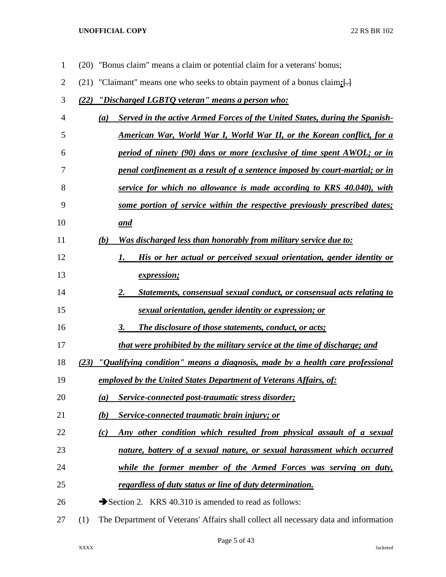| $\overline{2}$ | "Claimant" means one who seeks to obtain payment of a bonus claim; []<br>(21)               |
|----------------|---------------------------------------------------------------------------------------------|
| 3              | "Discharged LGBTQ veteran" means a person who:<br>(22)                                      |
| 4              | Served in the active Armed Forces of the United States, during the Spanish-<br>(a)          |
| 5              | <u>American War, World War I, World War II, or the Korean conflict, for a</u>               |
| 6              | period of ninety (90) days or more (exclusive of time spent AWOL; or in                     |
| 7              | penal confinement as a result of a sentence imposed by court-martial; or in                 |
| 8              | service for which no allowance is made according to KRS 40.040), with                       |
| 9              | some portion of service within the respective previously prescribed dates;                  |
| 10             | and                                                                                         |
| 11             | <u>Was discharged less than honorably from military service due to:</u><br>(b)              |
| 12             | His or her actual or perceived sexual orientation, gender identity or<br>1.                 |
| 13             | <i>expression;</i>                                                                          |
| 14             | 2.<br>Statements, consensual sexual conduct, or consensual acts relating to                 |
| 15             | sexual orientation, gender identity or expression; or                                       |
| 16             | 3.<br><b>The disclosure of those statements, conduct, or acts;</b>                          |
| 17             | that were prohibited by the military service at the time of discharge; and                  |
| 18             | "Qualifying condition" means a diagnosis, made by a health care professional<br>(23)        |
| 19             | employed by the United States Department of Veterans Affairs, of:                           |
| 20             | Service-connected post-traumatic stress disorder;<br>(a)                                    |
| 21             | <b>Service-connected traumatic brain injury; or</b><br>(b)                                  |
| 22             | Any other condition which resulted from physical assault of a sexual<br>(c)                 |
| 23             | nature, battery of a sexual nature, or sexual harassment which occurred                     |
| 24             | while the former member of the Armed Forces was serving on duty,                            |
| 25             | regardless of duty status or line of duty determination.                                    |
| 26             | Section 2. KRS 40.310 is amended to read as follows:                                        |
| 27             | The Department of Veterans' Affairs shall collect all necessary data and information<br>(1) |

(20) "Bonus claim" means a claim or potential claim for a veterans' bonus;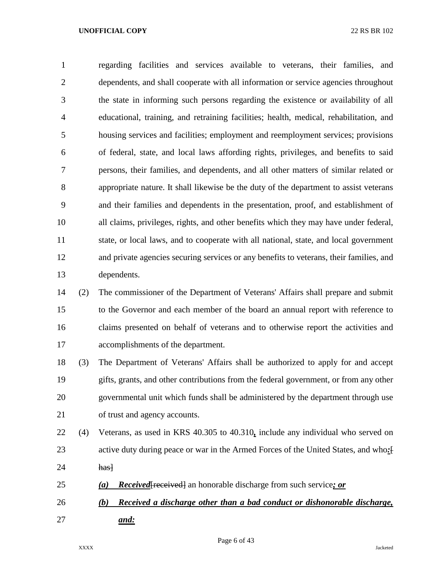regarding facilities and services available to veterans, their families, and dependents, and shall cooperate with all information or service agencies throughout the state in informing such persons regarding the existence or availability of all educational, training, and retraining facilities; health, medical, rehabilitation, and housing services and facilities; employment and reemployment services; provisions of federal, state, and local laws affording rights, privileges, and benefits to said persons, their families, and dependents, and all other matters of similar related or appropriate nature. It shall likewise be the duty of the department to assist veterans and their families and dependents in the presentation, proof, and establishment of all claims, privileges, rights, and other benefits which they may have under federal, state, or local laws, and to cooperate with all national, state, and local government and private agencies securing services or any benefits to veterans, their families, and dependents.

 (2) The commissioner of the Department of Veterans' Affairs shall prepare and submit to the Governor and each member of the board an annual report with reference to claims presented on behalf of veterans and to otherwise report the activities and accomplishments of the department.

 (3) The Department of Veterans' Affairs shall be authorized to apply for and accept gifts, grants, and other contributions from the federal government, or from any other governmental unit which funds shall be administered by the department through use of trust and agency accounts.

- (4) Veterans, as used in KRS 40.305 to 40.310*,* include any individual who served on active duty during peace or war in the Armed Forces of the United States, and who*:*[ **has**
- *(a) Received*[received] an honorable discharge from such service*; or*
- *(b) Received a discharge other than a bad conduct or dishonorable discharge, and:*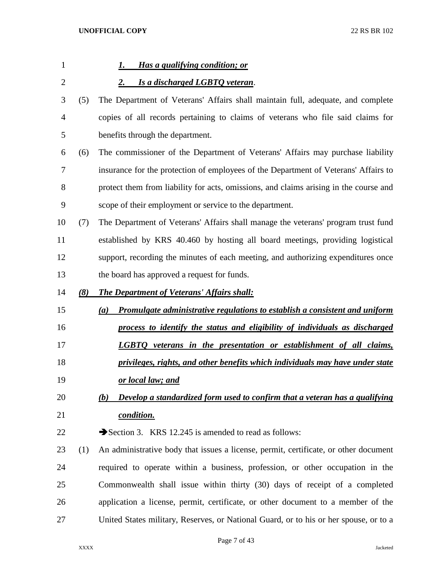| $\mathbf{1}$ |     | Has a qualifying condition; or<br>1.                                                      |
|--------------|-----|-------------------------------------------------------------------------------------------|
| 2            |     | Is a discharged LGBTQ veteran.<br>2.                                                      |
| 3            | (5) | The Department of Veterans' Affairs shall maintain full, adequate, and complete           |
| 4            |     | copies of all records pertaining to claims of veterans who file said claims for           |
| 5            |     | benefits through the department.                                                          |
| 6            | (6) | The commissioner of the Department of Veterans' Affairs may purchase liability            |
| 7            |     | insurance for the protection of employees of the Department of Veterans' Affairs to       |
| 8            |     | protect them from liability for acts, omissions, and claims arising in the course and     |
| 9            |     | scope of their employment or service to the department.                                   |
| 10           | (7) | The Department of Veterans' Affairs shall manage the veterans' program trust fund         |
| 11           |     | established by KRS 40.460 by hosting all board meetings, providing logistical             |
| 12           |     | support, recording the minutes of each meeting, and authorizing expenditures once         |
| 13           |     | the board has approved a request for funds.                                               |
| 14           | (8) | The Department of Veterans' Affairs shall:                                                |
| 15           |     | <b>Promulgate administrative regulations to establish a consistent and uniform</b><br>(a) |
| 16           |     | process to identify the status and eligibility of individuals as discharged               |
| 17           |     | <b>LGBTQ</b> veterans in the presentation or establishment of all claims,                 |
| 18           |     | privileges, rights, and other benefits which individuals may have under state             |
| 19           |     | <u>or local law; and</u>                                                                  |
| 20           |     | Develop a standardized form used to confirm that a veteran has a qualifying<br>(b)        |
| 21           |     | condition.                                                                                |
| 22           |     | Section 3. KRS 12.245 is amended to read as follows:                                      |
| 23           | (1) | An administrative body that issues a license, permit, certificate, or other document      |
| 24           |     | required to operate within a business, profession, or other occupation in the             |
| 25           |     | Commonwealth shall issue within thirty (30) days of receipt of a completed                |
| 26           |     | application a license, permit, certificate, or other document to a member of the          |
| 27           |     | United States military, Reserves, or National Guard, or to his or her spouse, or to a     |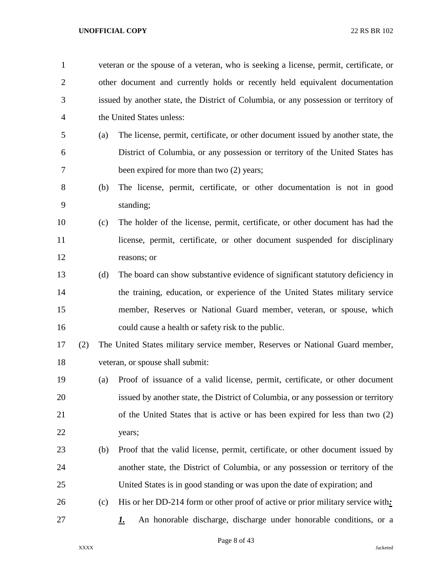| $\mathbf{1}$   |     |     | veteran or the spouse of a veteran, who is seeking a license, permit, certificate, or |
|----------------|-----|-----|---------------------------------------------------------------------------------------|
| $\overline{2}$ |     |     | other document and currently holds or recently held equivalent documentation          |
| 3              |     |     | issued by another state, the District of Columbia, or any possession or territory of  |
| 4              |     |     | the United States unless:                                                             |
| 5              |     | (a) | The license, permit, certificate, or other document issued by another state, the      |
| 6              |     |     | District of Columbia, or any possession or territory of the United States has         |
| 7              |     |     | been expired for more than two (2) years;                                             |
| 8              |     | (b) | The license, permit, certificate, or other documentation is not in good               |
| 9              |     |     | standing;                                                                             |
| 10             |     | (c) | The holder of the license, permit, certificate, or other document has had the         |
| 11             |     |     | license, permit, certificate, or other document suspended for disciplinary            |
| 12             |     |     | reasons; or                                                                           |
| 13             |     | (d) | The board can show substantive evidence of significant statutory deficiency in        |
| 14             |     |     | the training, education, or experience of the United States military service          |
| 15             |     |     | member, Reserves or National Guard member, veteran, or spouse, which                  |
| 16             |     |     | could cause a health or safety risk to the public.                                    |
| 17             | (2) |     | The United States military service member, Reserves or National Guard member,         |
| 18             |     |     | veteran, or spouse shall submit:                                                      |
| 19             |     | (a) | Proof of issuance of a valid license, permit, certificate, or other document          |
| 20             |     |     | issued by another state, the District of Columbia, or any possession or territory     |
| 21             |     |     | of the United States that is active or has been expired for less than two (2)         |
| 22             |     |     | years;                                                                                |
| 23             |     | (b) | Proof that the valid license, permit, certificate, or other document issued by        |
| 24             |     |     | another state, the District of Columbia, or any possession or territory of the        |
| 25             |     |     | United States is in good standing or was upon the date of expiration; and             |
| 26             |     | (c) | His or her DD-214 form or other proof of active or prior military service with:       |
| 27             |     |     | An honorable discharge, discharge under honorable conditions, or a<br><u>L.</u>       |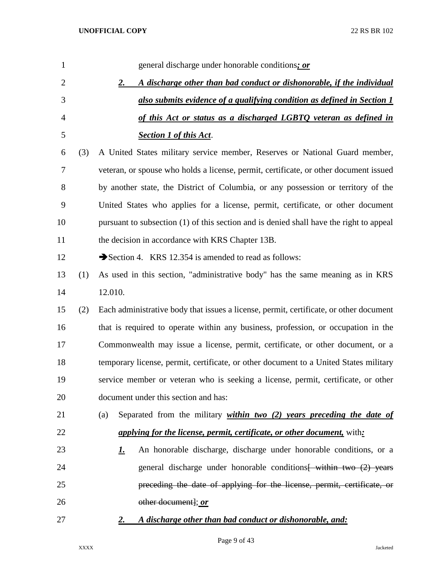| 1              |     | general discharge under honorable conditions; or                                        |
|----------------|-----|-----------------------------------------------------------------------------------------|
| $\overline{2}$ |     | A discharge other than bad conduct or dishonorable, if the individual<br>2.             |
| 3              |     | also submits evidence of a qualifying condition as defined in Section 1                 |
| $\overline{4}$ |     | of this Act or status as a discharged LGBTQ veteran as defined in                       |
| 5              |     | <b>Section 1 of this Act.</b>                                                           |
| 6              | (3) | A United States military service member, Reserves or National Guard member,             |
| 7              |     | veteran, or spouse who holds a license, permit, certificate, or other document issued   |
| 8              |     | by another state, the District of Columbia, or any possession or territory of the       |
| 9              |     | United States who applies for a license, permit, certificate, or other document         |
| 10             |     | pursuant to subsection (1) of this section and is denied shall have the right to appeal |
| 11             |     | the decision in accordance with KRS Chapter 13B.                                        |
| 12             |     | Section 4. KRS 12.354 is amended to read as follows:                                    |
| 13             | (1) | As used in this section, "administrative body" has the same meaning as in KRS           |
| 14             |     | 12.010.                                                                                 |
| 15             | (2) | Each administrative body that issues a license, permit, certificate, or other document  |
| 16             |     | that is required to operate within any business, profession, or occupation in the       |
| 17             |     | Commonwealth may issue a license, permit, certificate, or other document, or a          |
| 18             |     | temporary license, permit, certificate, or other document to a United States military   |
| 19             |     | service member or veteran who is seeking a license, permit, certificate, or other       |
| 20             |     | document under this section and has:                                                    |
| 21             |     | Separated from the military <i>within two (2) years preceding the date of</i><br>(a)    |
| 22             |     | <i>applying for the license, permit, certificate, or other document, with:</i>          |
| 23             |     | An honorable discharge, discharge under honorable conditions, or a<br><u>1.</u>         |
| 24             |     | general discharge under honorable conditions within two (2) years                       |
| 25             |     | preceding the date of applying for the license, permit, certificate, or                 |
| 26             |     | other document]; or                                                                     |
| 27             |     | A discharge other than bad conduct or dishonorable, and:<br>2.                          |
|                |     |                                                                                         |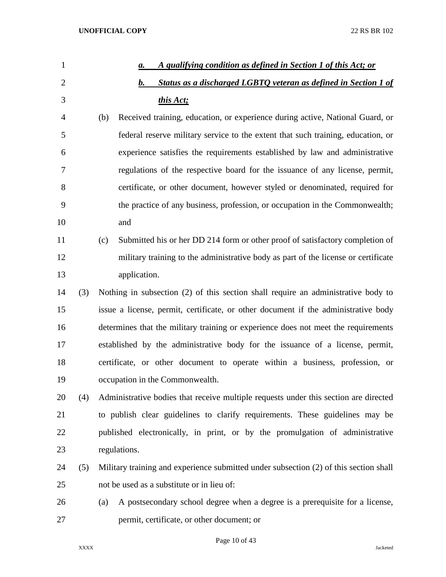| $\mathbf{1}$   |     | A qualifying condition as defined in Section 1 of this Act; or<br>a.                  |
|----------------|-----|---------------------------------------------------------------------------------------|
| $\overline{2}$ |     | Status as a discharged LGBTQ veteran as defined in Section 1 of<br>b.                 |
| 3              |     | this Act;                                                                             |
| 4              |     | Received training, education, or experience during active, National Guard, or<br>(b)  |
| 5              |     | federal reserve military service to the extent that such training, education, or      |
| 6              |     | experience satisfies the requirements established by law and administrative           |
| 7              |     | regulations of the respective board for the issuance of any license, permit,          |
| 8              |     | certificate, or other document, however styled or denominated, required for           |
| 9              |     | the practice of any business, profession, or occupation in the Commonwealth;          |
| 10             |     | and                                                                                   |
| 11             |     | Submitted his or her DD 214 form or other proof of satisfactory completion of<br>(c)  |
| 12             |     | military training to the administrative body as part of the license or certificate    |
| 13             |     | application.                                                                          |
| 14             | (3) | Nothing in subsection (2) of this section shall require an administrative body to     |
| 15             |     | issue a license, permit, certificate, or other document if the administrative body    |
| 16             |     | determines that the military training or experience does not meet the requirements    |
| 17             |     | established by the administrative body for the issuance of a license, permit,         |
| 18             |     | certificate, or other document to operate within a business, profession, or           |
| 19             |     | occupation in the Commonwealth.                                                       |
| 20             | (4) | Administrative bodies that receive multiple requests under this section are directed  |
| 21             |     | to publish clear guidelines to clarify requirements. These guidelines may be          |
| 22             |     | published electronically, in print, or by the promulgation of administrative          |
| 23             |     | regulations.                                                                          |
| 24             | (5) | Military training and experience submitted under subsection (2) of this section shall |
| 25             |     | not be used as a substitute or in lieu of:                                            |
| 26             |     | A postsecondary school degree when a degree is a prerequisite for a license,<br>(a)   |
| 27             |     | permit, certificate, or other document; or                                            |

Page 10 of 43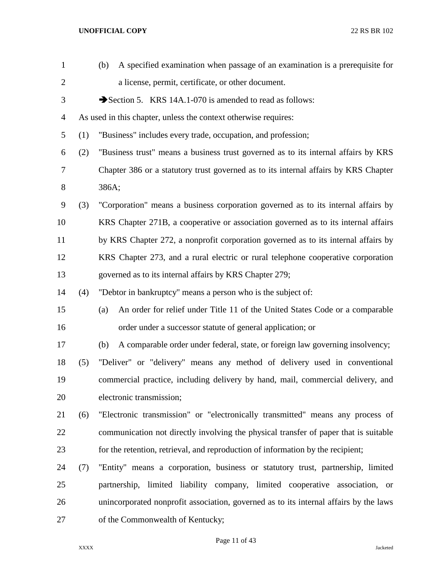| $\mathbf{1}$   |     | A specified examination when passage of an examination is a prerequisite for<br>(b)   |
|----------------|-----|---------------------------------------------------------------------------------------|
| $\overline{c}$ |     | a license, permit, certificate, or other document.                                    |
| 3              |     | Section 5. KRS 14A.1-070 is amended to read as follows:                               |
| 4              |     | As used in this chapter, unless the context otherwise requires:                       |
| 5              | (1) | "Business" includes every trade, occupation, and profession;                          |
| 6              | (2) | "Business trust" means a business trust governed as to its internal affairs by KRS    |
| 7              |     | Chapter 386 or a statutory trust governed as to its internal affairs by KRS Chapter   |
| 8              |     | 386A;                                                                                 |
| 9              | (3) | "Corporation" means a business corporation governed as to its internal affairs by     |
| 10             |     | KRS Chapter 271B, a cooperative or association governed as to its internal affairs    |
| 11             |     | by KRS Chapter 272, a nonprofit corporation governed as to its internal affairs by    |
| 12             |     | KRS Chapter 273, and a rural electric or rural telephone cooperative corporation      |
| 13             |     | governed as to its internal affairs by KRS Chapter 279;                               |
| 14             | (4) | "Debtor in bankruptcy" means a person who is the subject of:                          |
| 15             |     | An order for relief under Title 11 of the United States Code or a comparable<br>(a)   |
| 16             |     | order under a successor statute of general application; or                            |
| 17             |     | A comparable order under federal, state, or foreign law governing insolvency;<br>(b)  |
| 18             | (5) | "Deliver" or "delivery" means any method of delivery used in conventional             |
| 19             |     | commercial practice, including delivery by hand, mail, commercial delivery, and       |
| 20             |     | electronic transmission;                                                              |
| 21             | (6) | "Electronic transmission" or "electronically transmitted" means any process of        |
| 22             |     | communication not directly involving the physical transfer of paper that is suitable  |
| 23             |     | for the retention, retrieval, and reproduction of information by the recipient;       |
| 24             | (7) | "Entity" means a corporation, business or statutory trust, partnership, limited       |
| 25             |     | partnership, limited liability company, limited cooperative association, or           |
| 26             |     | unincorporated nonprofit association, governed as to its internal affairs by the laws |
| 27             |     | of the Commonwealth of Kentucky;                                                      |

Page 11 of 43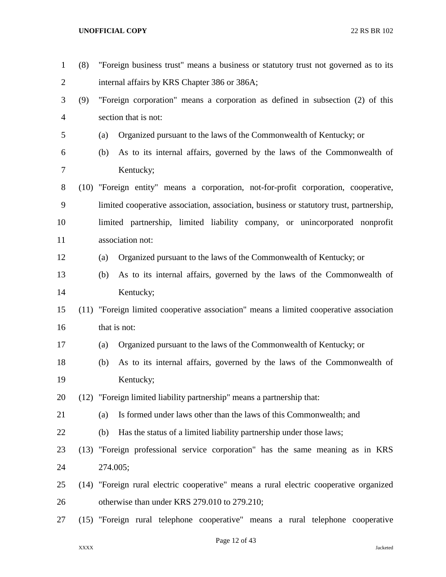| $\mathbf{1}$ | (8) |              | "Foreign business trust" means a business or statutory trust not governed as to its     |
|--------------|-----|--------------|-----------------------------------------------------------------------------------------|
| 2            |     |              | internal affairs by KRS Chapter 386 or 386A;                                            |
| 3            | (9) |              | "Foreign corporation" means a corporation as defined in subsection (2) of this          |
| 4            |     |              | section that is not:                                                                    |
| 5            |     | (a)          | Organized pursuant to the laws of the Commonwealth of Kentucky; or                      |
| 6            |     | (b)          | As to its internal affairs, governed by the laws of the Commonwealth of                 |
| 7            |     |              | Kentucky;                                                                               |
| 8            |     |              | (10) "Foreign entity" means a corporation, not-for-profit corporation, cooperative,     |
| 9            |     |              | limited cooperative association, association, business or statutory trust, partnership, |
| 10           |     |              | limited partnership, limited liability company, or unincorporated nonprofit             |
| 11           |     |              | association not:                                                                        |
| 12           |     | (a)          | Organized pursuant to the laws of the Commonwealth of Kentucky; or                      |
| 13           |     | (b)          | As to its internal affairs, governed by the laws of the Commonwealth of                 |
| 14           |     |              | Kentucky;                                                                               |
| 15           |     |              | (11) "Foreign limited cooperative association" means a limited cooperative association  |
| 16           |     | that is not: |                                                                                         |
| 17           |     | (a)          | Organized pursuant to the laws of the Commonwealth of Kentucky; or                      |
| 18           |     | (b)          | As to its internal affairs, governed by the laws of the Commonwealth of                 |
| 19           |     |              | Kentucky;                                                                               |
| 20           |     |              | (12) "Foreign limited liability partnership" means a partnership that:                  |
| 21           |     | (a)          | Is formed under laws other than the laws of this Commonwealth; and                      |
| 22           |     | (b)          | Has the status of a limited liability partnership under those laws;                     |
| 23           |     |              | (13) "Foreign professional service corporation" has the same meaning as in KRS          |
| 24           |     | 274.005;     |                                                                                         |
| 25           |     |              | (14) "Foreign rural electric cooperative" means a rural electric cooperative organized  |
| 26           |     |              | otherwise than under KRS 279.010 to 279.210;                                            |
| 27           |     |              | (15) "Foreign rural telephone cooperative" means a rural telephone cooperative          |

Page 12 of 43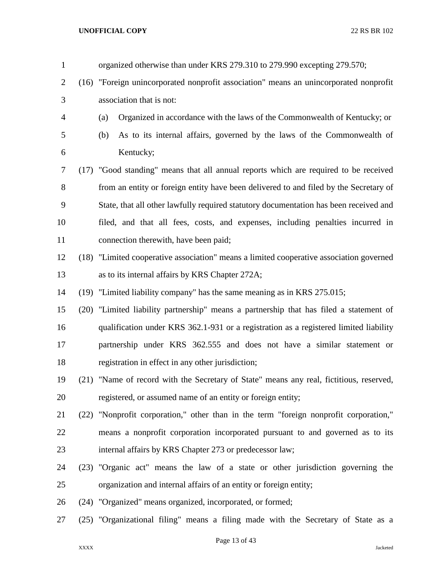| $\mathbf{1}$   |      | organized otherwise than under KRS 279.310 to 279.990 excepting 279.570;                |
|----------------|------|-----------------------------------------------------------------------------------------|
| $\overline{2}$ | (16) | "Foreign unincorporated nonprofit association" means an unincorporated nonprofit        |
| 3              |      | association that is not:                                                                |
| 4              |      | Organized in accordance with the laws of the Commonwealth of Kentucky; or<br>(a)        |
| 5              |      | As to its internal affairs, governed by the laws of the Commonwealth of<br>(b)          |
| 6              |      | Kentucky;                                                                               |
| 7              |      | (17) "Good standing" means that all annual reports which are required to be received    |
| 8              |      | from an entity or foreign entity have been delivered to and filed by the Secretary of   |
| 9              |      | State, that all other lawfully required statutory documentation has been received and   |
| 10             |      | filed, and that all fees, costs, and expenses, including penalties incurred in          |
| 11             |      | connection therewith, have been paid;                                                   |
| 12             |      | (18) "Limited cooperative association" means a limited cooperative association governed |
| 13             |      | as to its internal affairs by KRS Chapter 272A;                                         |
| 14             | (19) | "Limited liability company" has the same meaning as in KRS 275.015;                     |
| 15             | (20) | "Limited liability partnership" means a partnership that has filed a statement of       |
| 16             |      | qualification under KRS 362.1-931 or a registration as a registered limited liability   |
| 17             |      | partnership under KRS 362.555 and does not have a similar statement or                  |
| 18             |      | registration in effect in any other jurisdiction;                                       |
| 19             |      | (21) "Name of record with the Secretary of State" means any real, fictitious, reserved, |
| 20             |      | registered, or assumed name of an entity or foreign entity;                             |
| 21             | (22) | "Nonprofit corporation," other than in the term "foreign nonprofit corporation,"        |
| 22             |      | means a nonprofit corporation incorporated pursuant to and governed as to its           |
| 23             |      | internal affairs by KRS Chapter 273 or predecessor law;                                 |
| 24             |      | (23) "Organic act" means the law of a state or other jurisdiction governing the         |
| 25             |      | organization and internal affairs of an entity or foreign entity;                       |
| 26             |      | (24) "Organized" means organized, incorporated, or formed;                              |
| 27             |      | (25) "Organizational filing" means a filing made with the Secretary of State as a       |
|                |      |                                                                                         |

Page 13 of 43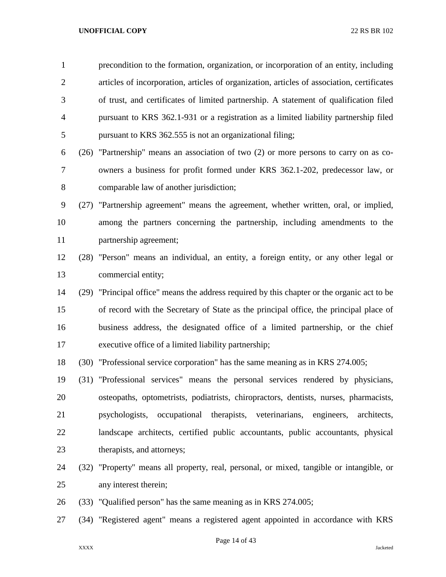precondition to the formation, organization, or incorporation of an entity, including articles of incorporation, articles of organization, articles of association, certificates of trust, and certificates of limited partnership. A statement of qualification filed pursuant to KRS 362.1-931 or a registration as a limited liability partnership filed pursuant to KRS 362.555 is not an organizational filing;

- (26) "Partnership" means an association of two (2) or more persons to carry on as co- owners a business for profit formed under KRS 362.1-202, predecessor law, or comparable law of another jurisdiction;
- (27) "Partnership agreement" means the agreement, whether written, oral, or implied, among the partners concerning the partnership, including amendments to the partnership agreement;
- (28) "Person" means an individual, an entity, a foreign entity, or any other legal or commercial entity;
- (29) "Principal office" means the address required by this chapter or the organic act to be of record with the Secretary of State as the principal office, the principal place of business address, the designated office of a limited partnership, or the chief executive office of a limited liability partnership;
- (30) "Professional service corporation" has the same meaning as in KRS 274.005;
- (31) "Professional services" means the personal services rendered by physicians, osteopaths, optometrists, podiatrists, chiropractors, dentists, nurses, pharmacists, psychologists, occupational therapists, veterinarians, engineers, architects, landscape architects, certified public accountants, public accountants, physical therapists, and attorneys;
- (32) "Property" means all property, real, personal, or mixed, tangible or intangible, or any interest therein;
- (33) "Qualified person" has the same meaning as in KRS 274.005;
- (34) "Registered agent" means a registered agent appointed in accordance with KRS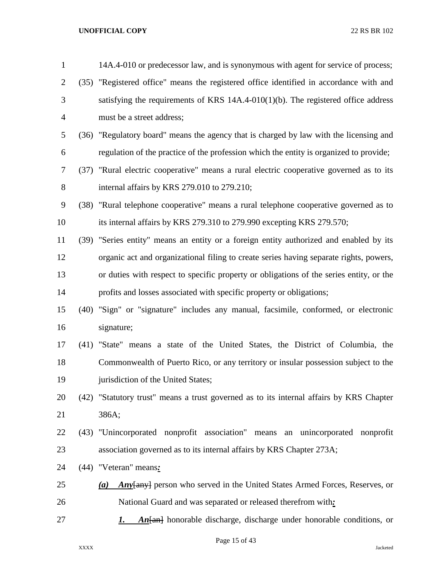| $\mathbf{1}$   | 14A.4-010 or predecessor law, and is synonymous with agent for service of process;      |
|----------------|-----------------------------------------------------------------------------------------|
| $\overline{2}$ | (35) "Registered office" means the registered office identified in accordance with and  |
| 3              | satisfying the requirements of KRS $14A.4-010(1)(b)$ . The registered office address    |
| 4              | must be a street address;                                                               |
| 5              | (36) "Regulatory board" means the agency that is charged by law with the licensing and  |
| 6              | regulation of the practice of the profession which the entity is organized to provide;  |
| 7              | (37) "Rural electric cooperative" means a rural electric cooperative governed as to its |
| 8              | internal affairs by KRS 279.010 to 279.210;                                             |
| 9              | (38) "Rural telephone cooperative" means a rural telephone cooperative governed as to   |
| 10             | its internal affairs by KRS 279.310 to 279.990 excepting KRS 279.570;                   |
| 11             | (39) "Series entity" means an entity or a foreign entity authorized and enabled by its  |
| 12             | organic act and organizational filing to create series having separate rights, powers,  |
| 13             | or duties with respect to specific property or obligations of the series entity, or the |
| 14             | profits and losses associated with specific property or obligations;                    |
| 15             | (40) "Sign" or "signature" includes any manual, facsimile, conformed, or electronic     |
| 16             | signature;                                                                              |
| 17             | (41) "State" means a state of the United States, the District of Columbia, the          |
| 18             | Commonwealth of Puerto Rico, or any territory or insular possession subject to the      |
| 19             | jurisdiction of the United States;                                                      |
| 20             | (42) "Statutory trust" means a trust governed as to its internal affairs by KRS Chapter |
| 21             | 386A;                                                                                   |
| 22             | (43) "Unincorporated nonprofit association" means an unincorporated nonprofit           |
| 23             | association governed as to its internal affairs by KRS Chapter 273A;                    |
| 24             | $(44)$ "Veteran" means:                                                                 |
| 25             | <b>Any</b> any person who served in the United States Armed Forces, Reserves, or<br>(a) |
| 26             | National Guard and was separated or released therefrom with:                            |
| 27             | $An$ [an] honorable discharge, discharge under honorable conditions, or<br>1.           |
|                |                                                                                         |

Page 15 of 43

XXXX Jacketed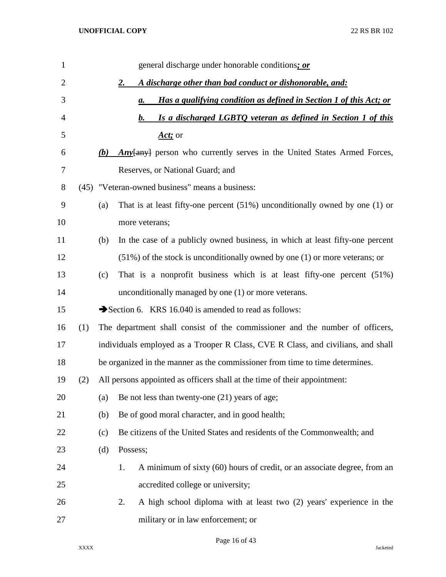| $\mathbf{1}$   |     |     | general discharge under honorable conditions; or                                     |
|----------------|-----|-----|--------------------------------------------------------------------------------------|
| $\overline{2}$ |     |     | A discharge other than bad conduct or dishonorable, and:<br>2.                       |
| 3              |     |     | Has a qualifying condition as defined in Section 1 of this Act; or<br>$\mathbf{a}$ . |
| 4              |     |     | Is a discharged LGBTO veteran as defined in Section 1 of this<br>b.                  |
| 5              |     |     | Act; or                                                                              |
| 6              |     | (b) | <b>Any</b> any person who currently serves in the United States Armed Forces,        |
| 7              |     |     | Reserves, or National Guard; and                                                     |
| 8              |     |     | (45) "Veteran-owned business" means a business:                                      |
| 9              |     | (a) | That is at least fifty-one percent $(51\%)$ unconditionally owned by one $(1)$ or    |
| 10             |     |     | more veterans;                                                                       |
| 11             |     | (b) | In the case of a publicly owned business, in which at least fifty-one percent        |
| 12             |     |     | $(51\%)$ of the stock is unconditionally owned by one $(1)$ or more veterans; or     |
| 13             |     | (c) | That is a nonprofit business which is at least fifty-one percent $(51\%)$            |
| 14             |     |     | unconditionally managed by one (1) or more veterans.                                 |
| 15             |     |     | Section 6. KRS 16.040 is amended to read as follows:                                 |
| 16             | (1) |     | The department shall consist of the commissioner and the number of officers,         |
| 17             |     |     | individuals employed as a Trooper R Class, CVE R Class, and civilians, and shall     |
| 18             |     |     | be organized in the manner as the commissioner from time to time determines.         |
| 19             | (2) |     | All persons appointed as officers shall at the time of their appointment:            |
| 20             |     | (a) | Be not less than twenty-one (21) years of age;                                       |
| 21             |     | (b) | Be of good moral character, and in good health;                                      |
| 22             |     | (c) | Be citizens of the United States and residents of the Commonwealth; and              |
| 23             |     | (d) | Possess;                                                                             |
| 24             |     |     | A minimum of sixty (60) hours of credit, or an associate degree, from an<br>1.       |
| 25             |     |     | accredited college or university;                                                    |
| 26             |     |     | A high school diploma with at least two (2) years' experience in the<br>2.           |
| 27             |     |     | military or in law enforcement; or                                                   |

Page 16 of 43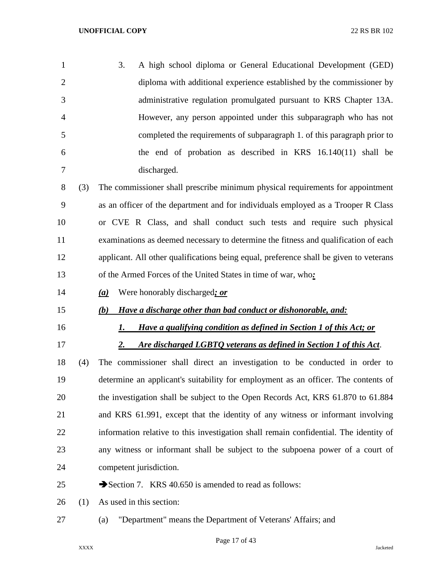| $\mathbf{1}$   |     | 3. | A high school diploma or General Educational Development (GED)                    |
|----------------|-----|----|-----------------------------------------------------------------------------------|
| 2              |     |    | diploma with additional experience established by the commissioner by             |
| 3              |     |    | administrative regulation promulgated pursuant to KRS Chapter 13A.                |
| $\overline{4}$ |     |    | However, any person appointed under this subparagraph who has not                 |
| 5              |     |    | completed the requirements of subparagraph 1. of this paragraph prior to          |
| 6              |     |    | the end of probation as described in KRS $16.140(11)$ shall be                    |
|                |     |    | discharged.                                                                       |
| 8              | (3) |    | The commissioner shall prescribe minimum physical requirements for appointment    |
| 9              |     |    | as an officer of the department and for individuals employed as a Trooper R Class |

 or CVE R Class, and shall conduct such tests and require such physical examinations as deemed necessary to determine the fitness and qualification of each applicant. All other qualifications being equal, preference shall be given to veterans of the Armed Forces of the United States in time of war, who*:*

*(a)* Were honorably discharged*; or*

# *(b) Have a discharge other than bad conduct or dishonorable, and:*

- *1. Have a qualifying condition as defined in Section 1 of this Act; or*
- 

*2. Are discharged LGBTQ veterans as defined in Section 1 of this Act*.

 (4) The commissioner shall direct an investigation to be conducted in order to determine an applicant's suitability for employment as an officer. The contents of the investigation shall be subject to the Open Records Act, KRS 61.870 to 61.884 and KRS 61.991, except that the identity of any witness or informant involving information relative to this investigation shall remain confidential. The identity of any witness or informant shall be subject to the subpoena power of a court of competent jurisdiction.

25 Section 7. KRS 40.650 is amended to read as follows:

- (1) As used in this section:
- (a) "Department" means the Department of Veterans' Affairs; and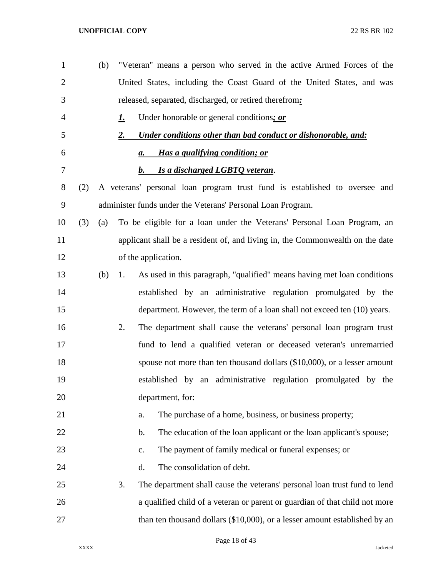| $\mathbf{1}$   |     | (b) |           | "Veteran" means a person who served in the active Armed Forces of the         |
|----------------|-----|-----|-----------|-------------------------------------------------------------------------------|
| $\overline{2}$ |     |     |           | United States, including the Coast Guard of the United States, and was        |
| 3              |     |     |           | released, separated, discharged, or retired therefrom:                        |
| 4              |     |     | <u>1.</u> | Under honorable or general conditions; or                                     |
| 5              |     |     | 2.        | Under conditions other than bad conduct or dishonorable, and:                 |
| 6              |     |     |           | Has a qualifying condition; or<br>а.                                          |
| 7              |     |     |           | Is a discharged LGBTO veteran.<br>b.                                          |
| 8              | (2) |     |           | A veterans' personal loan program trust fund is established to oversee and    |
| 9              |     |     |           | administer funds under the Veterans' Personal Loan Program.                   |
| 10             | (3) | (a) |           | To be eligible for a loan under the Veterans' Personal Loan Program, an       |
| 11             |     |     |           | applicant shall be a resident of, and living in, the Commonwealth on the date |
| 12             |     |     |           | of the application.                                                           |
| 13             |     | (b) | 1.        | As used in this paragraph, "qualified" means having met loan conditions       |
| 14             |     |     |           | established by an administrative regulation promulgated by the                |
| 15             |     |     |           | department. However, the term of a loan shall not exceed ten (10) years.      |
| 16             |     |     | 2.        | The department shall cause the veterans' personal loan program trust          |
| 17             |     |     |           | fund to lend a qualified veteran or deceased veteran's unremarried            |
| 18             |     |     |           | spouse not more than ten thousand dollars $(\$10,000)$ , or a lesser amount   |
| 19             |     |     |           | established by an administrative regulation promulgated by the                |
| 20             |     |     |           | department, for:                                                              |
| 21             |     |     |           | The purchase of a home, business, or business property;<br>a.                 |
| 22             |     |     |           | The education of the loan applicant or the loan applicant's spouse;<br>b.     |
| 23             |     |     |           | The payment of family medical or funeral expenses; or<br>c.                   |
| 24             |     |     |           | The consolidation of debt.<br>d.                                              |
| 25             |     |     | 3.        | The department shall cause the veterans' personal loan trust fund to lend     |
| 26             |     |     |           | a qualified child of a veteran or parent or guardian of that child not more   |
| 27             |     |     |           | than ten thousand dollars (\$10,000), or a lesser amount established by an    |

Page 18 of 43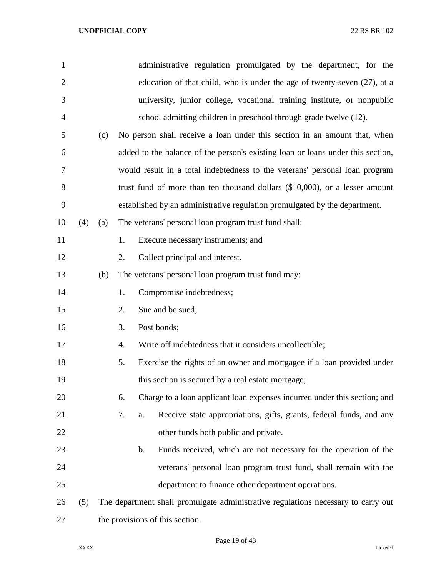| $\mathbf{1}$   |     |     |          | administrative regulation promulgated by the department, for the                  |
|----------------|-----|-----|----------|-----------------------------------------------------------------------------------|
| $\overline{2}$ |     |     |          | education of that child, who is under the age of twenty-seven (27), at a          |
| 3              |     |     |          | university, junior college, vocational training institute, or nonpublic           |
| 4              |     |     |          | school admitting children in preschool through grade twelve (12).                 |
| 5              |     | (c) |          | No person shall receive a loan under this section in an amount that, when         |
| 6              |     |     |          | added to the balance of the person's existing loan or loans under this section,   |
| 7              |     |     |          | would result in a total indebtedness to the veterans' personal loan program       |
| 8              |     |     |          | trust fund of more than ten thousand dollars (\$10,000), or a lesser amount       |
| 9              |     |     |          | established by an administrative regulation promulgated by the department.        |
| 10             | (4) | (a) |          | The veterans' personal loan program trust fund shall:                             |
| 11             |     |     | 1.       | Execute necessary instruments; and                                                |
| 12             |     |     | 2.       | Collect principal and interest.                                                   |
| 13             |     | (b) |          | The veterans' personal loan program trust fund may:                               |
| 14             |     |     | 1.       | Compromise indebtedness;                                                          |
| 15             |     |     | 2.       | Sue and be sued;                                                                  |
| 16             |     |     | 3.       | Post bonds;                                                                       |
| 17             |     |     | 4.       | Write off indebtedness that it considers uncollectible;                           |
| 18             |     |     | 5.       | Exercise the rights of an owner and mortgagee if a loan provided under            |
| 19             |     |     |          | this section is secured by a real estate mortgage;                                |
| 20             |     |     | 6.       | Charge to a loan applicant loan expenses incurred under this section; and         |
| 21             |     |     | 7.<br>a. | Receive state appropriations, gifts, grants, federal funds, and any               |
| 22             |     |     |          | other funds both public and private.                                              |
| 23             |     |     | b.       | Funds received, which are not necessary for the operation of the                  |
| 24             |     |     |          | veterans' personal loan program trust fund, shall remain with the                 |
| 25             |     |     |          | department to finance other department operations.                                |
| 26             | (5) |     |          | The department shall promulgate administrative regulations necessary to carry out |
| 27             |     |     |          | the provisions of this section.                                                   |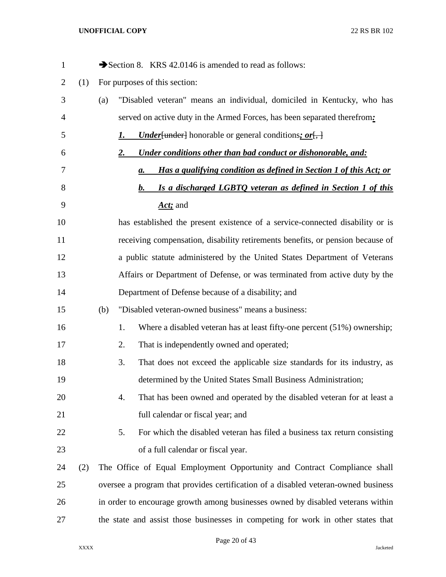| $\mathbf{1}$ |     |     | Section 8. KRS 42.0146 is amended to read as follows:                                                  |  |  |
|--------------|-----|-----|--------------------------------------------------------------------------------------------------------|--|--|
| 2            | (1) |     | For purposes of this section:                                                                          |  |  |
| 3            |     | (a) | "Disabled veteran" means an individual, domiciled in Kentucky, who has                                 |  |  |
| 4            |     |     | served on active duty in the Armed Forces, has been separated therefrom.                               |  |  |
| 5            |     |     | <b><i>Under</i></b> { $u$ nder} honorable or general conditions; or $\left\{\frac{1}{2}\right\}$<br>1. |  |  |
| 6            |     |     | Under conditions other than bad conduct or dishonorable, and:<br><u>2.</u>                             |  |  |
| 7            |     |     | Has a qualifying condition as defined in Section 1 of this Act; or<br>а.                               |  |  |
| 8            |     |     | Is a discharged LGBTQ veteran as defined in Section 1 of this<br>b.                                    |  |  |
| 9            |     |     | Act; and                                                                                               |  |  |
| 10           |     |     | has established the present existence of a service-connected disability or is                          |  |  |
| 11           |     |     | receiving compensation, disability retirements benefits, or pension because of                         |  |  |
| 12           |     |     | a public statute administered by the United States Department of Veterans                              |  |  |
| 13           |     |     | Affairs or Department of Defense, or was terminated from active duty by the                            |  |  |
| 14           |     |     | Department of Defense because of a disability; and                                                     |  |  |
| 15           |     | (b) | "Disabled veteran-owned business" means a business:                                                    |  |  |
| 16           |     |     | 1.<br>Where a disabled veteran has at least fifty-one percent $(51%)$ ownership;                       |  |  |
| 17           |     |     | 2.<br>That is independently owned and operated;                                                        |  |  |
| 18           |     |     | 3.<br>That does not exceed the applicable size standards for its industry, as                          |  |  |
| 19           |     |     | determined by the United States Small Business Administration;                                         |  |  |
| 20           |     |     | That has been owned and operated by the disabled veteran for at least a<br>4.                          |  |  |
| 21           |     |     | full calendar or fiscal year; and                                                                      |  |  |
| 22           |     |     | 5.<br>For which the disabled veteran has filed a business tax return consisting                        |  |  |
| 23           |     |     | of a full calendar or fiscal year.                                                                     |  |  |
| 24           | (2) |     | The Office of Equal Employment Opportunity and Contract Compliance shall                               |  |  |
| 25           |     |     | oversee a program that provides certification of a disabled veteran-owned business                     |  |  |
| 26           |     |     | in order to encourage growth among businesses owned by disabled veterans within                        |  |  |
| 27           |     |     | the state and assist those businesses in competing for work in other states that                       |  |  |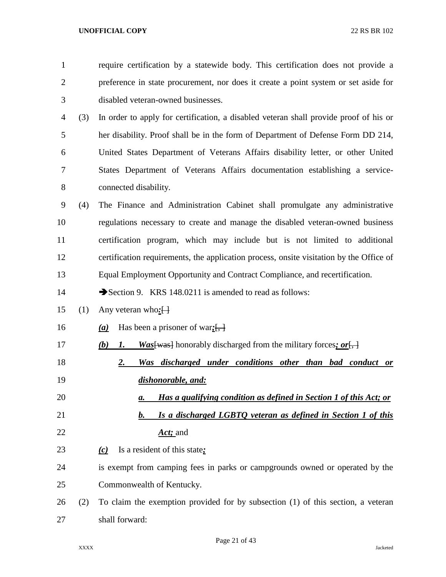| $\mathbf{1}$   |     | require certification by a statewide body. This certification does not provide a                           |  |  |  |  |  |  |
|----------------|-----|------------------------------------------------------------------------------------------------------------|--|--|--|--|--|--|
| $\overline{2}$ |     | preference in state procurement, nor does it create a point system or set aside for                        |  |  |  |  |  |  |
| 3              |     | disabled veteran-owned businesses.                                                                         |  |  |  |  |  |  |
| $\overline{4}$ | (3) | In order to apply for certification, a disabled veteran shall provide proof of his or                      |  |  |  |  |  |  |
| 5              |     | her disability. Proof shall be in the form of Department of Defense Form DD 214,                           |  |  |  |  |  |  |
| 6              |     | United States Department of Veterans Affairs disability letter, or other United                            |  |  |  |  |  |  |
| 7              |     | States Department of Veterans Affairs documentation establishing a service-                                |  |  |  |  |  |  |
| $8\,$          |     | connected disability.                                                                                      |  |  |  |  |  |  |
| $\mathbf{9}$   | (4) | The Finance and Administration Cabinet shall promulgate any administrative                                 |  |  |  |  |  |  |
| 10             |     | regulations necessary to create and manage the disabled veteran-owned business                             |  |  |  |  |  |  |
| 11             |     | certification program, which may include but is not limited to additional                                  |  |  |  |  |  |  |
| 12             |     | certification requirements, the application process, onsite visitation by the Office of                    |  |  |  |  |  |  |
| 13             |     | Equal Employment Opportunity and Contract Compliance, and recertification.                                 |  |  |  |  |  |  |
| 14             |     | Section 9. KRS 148.0211 is amended to read as follows:                                                     |  |  |  |  |  |  |
| 15             | (1) | Any veteran who: $\left\{ \cdot \right\}$                                                                  |  |  |  |  |  |  |
| 16             |     | Has been a prisoner of war: $\left[\frac{1}{2}, \frac{1}{2}\right]$<br>(a)                                 |  |  |  |  |  |  |
| 17             |     | $\frac{Was[was]}{ honorably discharged from the military forces; or \frac{fr}{r}$<br>(b)<br>$\mathbf{I}$ . |  |  |  |  |  |  |
| 18             |     | Was discharged under conditions other than bad conduct or<br>2.                                            |  |  |  |  |  |  |
| 19             |     | dishonorable, and:                                                                                         |  |  |  |  |  |  |
| 20             |     | Has a qualifying condition as defined in Section 1 of this Act; or<br>а.                                   |  |  |  |  |  |  |
| 21             |     | Is a discharged LGBTQ veteran as defined in Section 1 of this<br>b.                                        |  |  |  |  |  |  |
| 22             |     | Act; and                                                                                                   |  |  |  |  |  |  |
| 23             |     | Is a resident of this state:<br>(c)                                                                        |  |  |  |  |  |  |
| 24             |     | is exempt from camping fees in parks or campgrounds owned or operated by the                               |  |  |  |  |  |  |
| 25             |     | Commonwealth of Kentucky.                                                                                  |  |  |  |  |  |  |
| 26             | (2) | To claim the exemption provided for by subsection (1) of this section, a veteran                           |  |  |  |  |  |  |
| 27             |     | shall forward:                                                                                             |  |  |  |  |  |  |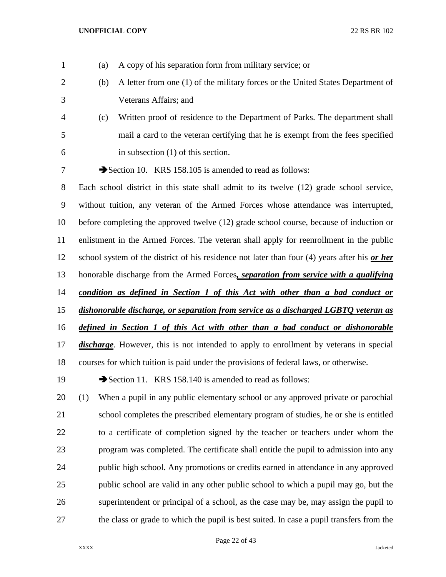| $\mathbf{1}$   | (a) | A copy of his separation form from military service; or                                        |
|----------------|-----|------------------------------------------------------------------------------------------------|
| $\overline{2}$ | (b) | A letter from one (1) of the military forces or the United States Department of                |
| 3              |     | Veterans Affairs; and                                                                          |
| 4              | (c) | Written proof of residence to the Department of Parks. The department shall                    |
| 5              |     | mail a card to the veteran certifying that he is exempt from the fees specified                |
| 6              |     | in subsection $(1)$ of this section.                                                           |
| 7              |     | Section 10. KRS 158.105 is amended to read as follows:                                         |
| 8              |     | Each school district in this state shall admit to its twelve (12) grade school service,        |
| 9              |     | without tuition, any veteran of the Armed Forces whose attendance was interrupted,             |
| 10             |     | before completing the approved twelve (12) grade school course, because of induction or        |
| 11             |     | enlistment in the Armed Forces. The veteran shall apply for reenrollment in the public         |
| 12             |     | school system of the district of his residence not later than four (4) years after his or her  |
| 13             |     | honorable discharge from the Armed Forces, separation from service with a qualifying           |
| 14             |     | <u>condition as defined in Section 1 of this Act with other than a bad conduct or</u>          |
| 15             |     | dishonorable discharge, or separation from service as a discharged LGBTQ veteran as            |
| 16             |     | defined in Section 1 of this Act with other than a bad conduct or dishonorable                 |
| 17             |     | <i>discharge</i> . However, this is not intended to apply to enrollment by veterans in special |
| 18             |     | courses for which tuition is paid under the provisions of federal laws, or otherwise.          |
| 19             |     | Section 11. KRS 158.140 is amended to read as follows:                                         |
| 20             | (1) | When a pupil in any public elementary school or any approved private or parochial              |
| 21             |     | school completes the prescribed elementary program of studies, he or she is entitled           |
| 22             |     | to a certificate of completion signed by the teacher or teachers under whom the                |
| 23             |     | program was completed. The certificate shall entitle the pupil to admission into any           |
| 24             |     | public high school. Any promotions or credits earned in attendance in any approved             |
| 25             |     | public school are valid in any other public school to which a pupil may go, but the            |
| 26             |     | superintendent or principal of a school, as the case may be, may assign the pupil to           |
| 27             |     | the class or grade to which the pupil is best suited. In case a pupil transfers from the       |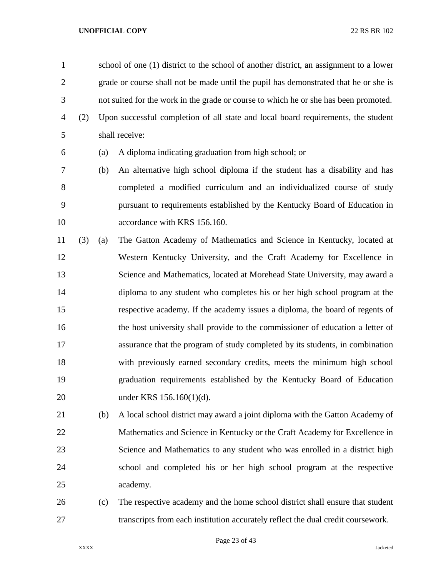school of one (1) district to the school of another district, an assignment to a lower grade or course shall not be made until the pupil has demonstrated that he or she is not suited for the work in the grade or course to which he or she has been promoted. (2) Upon successful completion of all state and local board requirements, the student

- shall receive:
- (a) A diploma indicating graduation from high school; or

 (b) An alternative high school diploma if the student has a disability and has completed a modified curriculum and an individualized course of study pursuant to requirements established by the Kentucky Board of Education in 10 accordance with KRS 156.160.

- (3) (a) The Gatton Academy of Mathematics and Science in Kentucky, located at Western Kentucky University, and the Craft Academy for Excellence in Science and Mathematics, located at Morehead State University, may award a diploma to any student who completes his or her high school program at the respective academy. If the academy issues a diploma, the board of regents of the host university shall provide to the commissioner of education a letter of assurance that the program of study completed by its students, in combination with previously earned secondary credits, meets the minimum high school graduation requirements established by the Kentucky Board of Education under KRS 156.160(1)(d).
- (b) A local school district may award a joint diploma with the Gatton Academy of Mathematics and Science in Kentucky or the Craft Academy for Excellence in Science and Mathematics to any student who was enrolled in a district high school and completed his or her high school program at the respective academy.
- (c) The respective academy and the home school district shall ensure that student transcripts from each institution accurately reflect the dual credit coursework.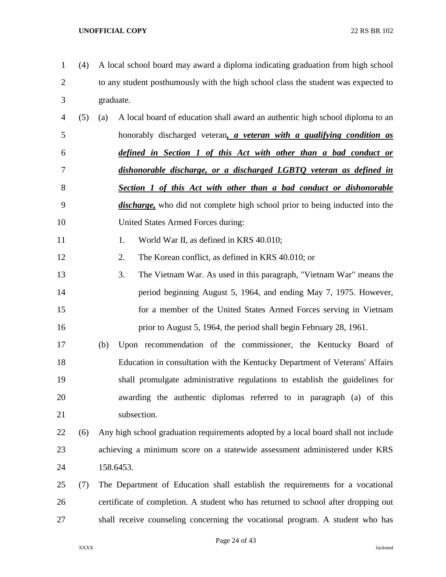- (4) A local school board may award a diploma indicating graduation from high school to any student posthumously with the high school class the student was expected to graduate.
- (5) (a) A local board of education shall award an authentic high school diploma to an honorably discharged veteran*, a veteran with a qualifying condition as defined in Section 1 of this Act with other than a bad conduct or dishonorable discharge, or a discharged LGBTQ veteran as defined in Section 1 of this Act with other than a bad conduct or dishonorable discharge,* who did not complete high school prior to being inducted into the United States Armed Forces during:
- 11 1. World War II, as defined in KRS 40.010;
- 2. The Korean conflict, as defined in KRS 40.010; or
- 3. The Vietnam War. As used in this paragraph, "Vietnam War" means the period beginning August 5, 1964, and ending May 7, 1975. However, for a member of the United States Armed Forces serving in Vietnam **prior to August 5, 1964, the period shall begin February 28, 1961.**
- (b) Upon recommendation of the commissioner, the Kentucky Board of Education in consultation with the Kentucky Department of Veterans' Affairs shall promulgate administrative regulations to establish the guidelines for awarding the authentic diplomas referred to in paragraph (a) of this subsection.

# (6) Any high school graduation requirements adopted by a local board shall not include achieving a minimum score on a statewide assessment administered under KRS 158.6453.

 (7) The Department of Education shall establish the requirements for a vocational certificate of completion. A student who has returned to school after dropping out shall receive counseling concerning the vocational program. A student who has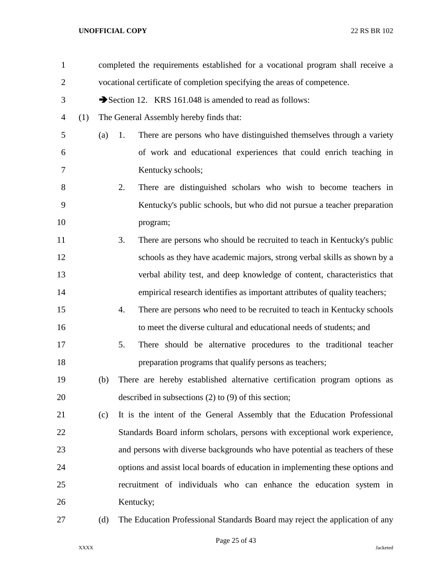| $\mathbf{1}$   |     |     | completed the requirements established for a vocational program shall receive a |  |  |  |  |
|----------------|-----|-----|---------------------------------------------------------------------------------|--|--|--|--|
| $\overline{2}$ |     |     | vocational certificate of completion specifying the areas of competence.        |  |  |  |  |
| 3              |     |     | Section 12. KRS 161.048 is amended to read as follows:                          |  |  |  |  |
| $\overline{4}$ | (1) |     | The General Assembly hereby finds that:                                         |  |  |  |  |
| 5              |     | (a) | There are persons who have distinguished themselves through a variety<br>1.     |  |  |  |  |
| 6              |     |     | of work and educational experiences that could enrich teaching in               |  |  |  |  |
| 7              |     |     | Kentucky schools;                                                               |  |  |  |  |
| 8              |     |     | There are distinguished scholars who wish to become teachers in<br>2.           |  |  |  |  |
| 9              |     |     | Kentucky's public schools, but who did not pursue a teacher preparation         |  |  |  |  |
| 10             |     |     | program;                                                                        |  |  |  |  |
| 11             |     |     | 3.<br>There are persons who should be recruited to teach in Kentucky's public   |  |  |  |  |
| 12             |     |     | schools as they have academic majors, strong verbal skills as shown by a        |  |  |  |  |
| 13             |     |     | verbal ability test, and deep knowledge of content, characteristics that        |  |  |  |  |
| 14             |     |     | empirical research identifies as important attributes of quality teachers;      |  |  |  |  |
| 15             |     |     | There are persons who need to be recruited to teach in Kentucky schools<br>4.   |  |  |  |  |
| 16             |     |     | to meet the diverse cultural and educational needs of students; and             |  |  |  |  |
| 17             |     |     | There should be alternative procedures to the traditional teacher<br>5.         |  |  |  |  |
| 18             |     |     | preparation programs that qualify persons as teachers;                          |  |  |  |  |
| 19             |     | (b) | There are hereby established alternative certification program options as       |  |  |  |  |
| 20             |     |     | described in subsections $(2)$ to $(9)$ of this section;                        |  |  |  |  |
| 21             |     | (c) | It is the intent of the General Assembly that the Education Professional        |  |  |  |  |
| 22             |     |     | Standards Board inform scholars, persons with exceptional work experience,      |  |  |  |  |
| 23             |     |     | and persons with diverse backgrounds who have potential as teachers of these    |  |  |  |  |
| 24             |     |     | options and assist local boards of education in implementing these options and  |  |  |  |  |
| 25             |     |     | recruitment of individuals who can enhance the education system in              |  |  |  |  |
| 26             |     |     | Kentucky;                                                                       |  |  |  |  |
| 27             |     | (d) | The Education Professional Standards Board may reject the application of any    |  |  |  |  |

Page 25 of 43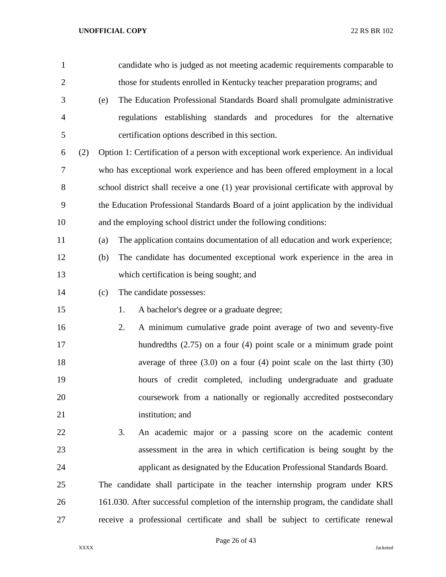| $\mathbf{1}$   |     |     | candidate who is judged as not meeting academic requirements comparable to            |
|----------------|-----|-----|---------------------------------------------------------------------------------------|
| $\overline{2}$ |     |     | those for students enrolled in Kentucky teacher preparation programs; and             |
| 3              |     | (e) | The Education Professional Standards Board shall promulgate administrative            |
| $\overline{4}$ |     |     | regulations establishing standards and procedures for the alternative                 |
| 5              |     |     | certification options described in this section.                                      |
| 6              | (2) |     | Option 1: Certification of a person with exceptional work experience. An individual   |
| 7              |     |     | who has exceptional work experience and has been offered employment in a local        |
| 8              |     |     | school district shall receive a one (1) year provisional certificate with approval by |
| 9              |     |     | the Education Professional Standards Board of a joint application by the individual   |
| 10             |     |     | and the employing school district under the following conditions:                     |
| 11             |     | (a) | The application contains documentation of all education and work experience;          |
| 12             |     | (b) | The candidate has documented exceptional work experience in the area in               |
| 13             |     |     | which certification is being sought; and                                              |
| 14             |     | (c) | The candidate possesses:                                                              |
| 15             |     |     | 1.<br>A bachelor's degree or a graduate degree;                                       |
| 16             |     |     | 2.<br>A minimum cumulative grade point average of two and seventy-five                |
| 17             |     |     | hundredths $(2.75)$ on a four $(4)$ point scale or a minimum grade point              |
| 18             |     |     | average of three $(3.0)$ on a four $(4)$ point scale on the last thirty $(30)$        |
| 19             |     |     | hours of credit completed, including undergraduate and graduate                       |
| 20             |     |     | coursework from a nationally or regionally accredited postsecondary                   |
| 21             |     |     | institution; and                                                                      |
| 22             |     |     | 3.<br>An academic major or a passing score on the academic content                    |
| 23             |     |     | assessment in the area in which certification is being sought by the                  |
| 24             |     |     | applicant as designated by the Education Professional Standards Board.                |
| 25             |     |     | The candidate shall participate in the teacher internship program under KRS           |
| 26             |     |     | 161.030. After successful completion of the internship program, the candidate shall   |
| 27             |     |     | receive a professional certificate and shall be subject to certificate renewal        |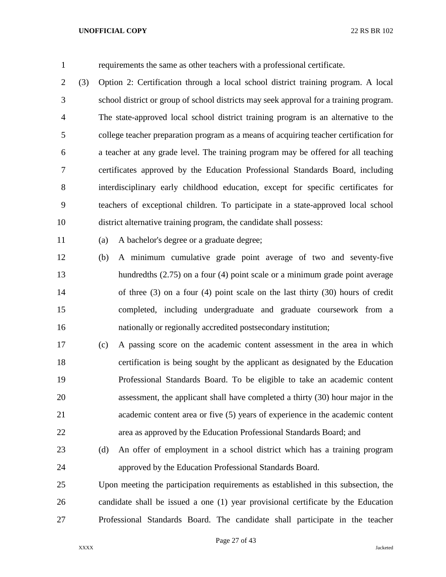requirements the same as other teachers with a professional certificate.

 (3) Option 2: Certification through a local school district training program. A local school district or group of school districts may seek approval for a training program. The state-approved local school district training program is an alternative to the college teacher preparation program as a means of acquiring teacher certification for a teacher at any grade level. The training program may be offered for all teaching certificates approved by the Education Professional Standards Board, including interdisciplinary early childhood education, except for specific certificates for teachers of exceptional children. To participate in a state-approved local school district alternative training program, the candidate shall possess:

(a) A bachelor's degree or a graduate degree;

 (b) A minimum cumulative grade point average of two and seventy-five hundredths (2.75) on a four (4) point scale or a minimum grade point average of three (3) on a four (4) point scale on the last thirty (30) hours of credit completed, including undergraduate and graduate coursework from a nationally or regionally accredited postsecondary institution;

 (c) A passing score on the academic content assessment in the area in which certification is being sought by the applicant as designated by the Education Professional Standards Board. To be eligible to take an academic content assessment, the applicant shall have completed a thirty (30) hour major in the academic content area or five (5) years of experience in the academic content area as approved by the Education Professional Standards Board; and

 (d) An offer of employment in a school district which has a training program approved by the Education Professional Standards Board.

 Upon meeting the participation requirements as established in this subsection, the candidate shall be issued a one (1) year provisional certificate by the Education Professional Standards Board. The candidate shall participate in the teacher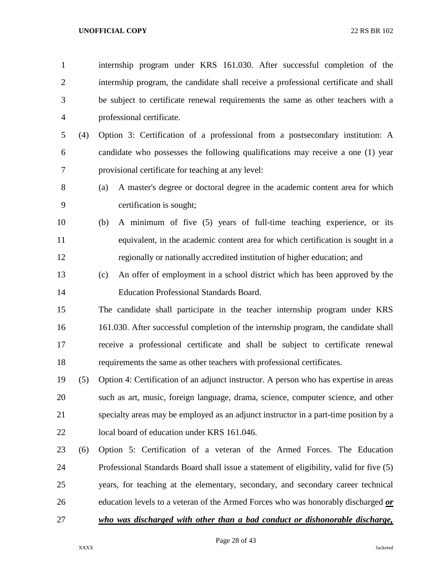internship program under KRS 161.030. After successful completion of the internship program, the candidate shall receive a professional certificate and shall be subject to certificate renewal requirements the same as other teachers with a professional certificate. (4) Option 3: Certification of a professional from a postsecondary institution: A candidate who possesses the following qualifications may receive a one (1) year provisional certificate for teaching at any level: (a) A master's degree or doctoral degree in the academic content area for which certification is sought; (b) A minimum of five (5) years of full-time teaching experience, or its equivalent, in the academic content area for which certification is sought in a regionally or nationally accredited institution of higher education; and (c) An offer of employment in a school district which has been approved by the Education Professional Standards Board. The candidate shall participate in the teacher internship program under KRS 161.030. After successful completion of the internship program, the candidate shall receive a professional certificate and shall be subject to certificate renewal requirements the same as other teachers with professional certificates. (5) Option 4: Certification of an adjunct instructor. A person who has expertise in areas such as art, music, foreign language, drama, science, computer science, and other specialty areas may be employed as an adjunct instructor in a part-time position by a local board of education under KRS 161.046. (6) Option 5: Certification of a veteran of the Armed Forces. The Education Professional Standards Board shall issue a statement of eligibility, valid for five (5) years, for teaching at the elementary, secondary, and secondary career technical education levels to a veteran of the Armed Forces who was honorably discharged *or who was discharged with other than a bad conduct or dishonorable discharge,* 

Page 28 of 43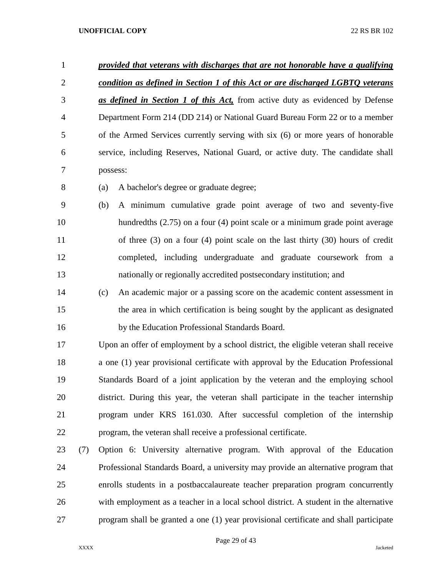| $\mathbf{1}$   |     | provided that veterans with discharges that are not honorable have a qualifying       |  |  |
|----------------|-----|---------------------------------------------------------------------------------------|--|--|
| $\overline{2}$ |     | condition as defined in Section 1 of this Act or are discharged LGBTO veterans        |  |  |
| 3              |     | as defined in Section 1 of this Act, from active duty as evidenced by Defense         |  |  |
| $\overline{4}$ |     | Department Form 214 (DD 214) or National Guard Bureau Form 22 or to a member          |  |  |
| 5              |     | of the Armed Services currently serving with six (6) or more years of honorable       |  |  |
| 6              |     | service, including Reserves, National Guard, or active duty. The candidate shall      |  |  |
| 7              |     | possess:                                                                              |  |  |
| 8              |     | A bachelor's degree or graduate degree;<br>(a)                                        |  |  |
| 9              |     | A minimum cumulative grade point average of two and seventy-five<br>(b)               |  |  |
| 10             |     | hundredths $(2.75)$ on a four $(4)$ point scale or a minimum grade point average      |  |  |
| 11             |     | of three $(3)$ on a four $(4)$ point scale on the last thirty $(30)$ hours of credit  |  |  |
| 12             |     | completed, including undergraduate and graduate coursework from a                     |  |  |
| 13             |     | nationally or regionally accredited postsecondary institution; and                    |  |  |
| 14             |     | An academic major or a passing score on the academic content assessment in<br>(c)     |  |  |
| 15             |     | the area in which certification is being sought by the applicant as designated        |  |  |
| 16             |     | by the Education Professional Standards Board.                                        |  |  |
| 17             |     | Upon an offer of employment by a school district, the eligible veteran shall receive  |  |  |
| 18             |     | a one (1) year provisional certificate with approval by the Education Professional    |  |  |
| 19             |     | Standards Board of a joint application by the veteran and the employing school        |  |  |
| 20             |     | district. During this year, the veteran shall participate in the teacher internship   |  |  |
| 21             |     | program under KRS 161.030. After successful completion of the internship              |  |  |
| 22             |     | program, the veteran shall receive a professional certificate.                        |  |  |
| 23             | (7) | Option 6: University alternative program. With approval of the Education              |  |  |
| 24             |     | Professional Standards Board, a university may provide an alternative program that    |  |  |
| 25             |     | enrolls students in a postbaccalaureate teacher preparation program concurrently      |  |  |
| 26             |     | with employment as a teacher in a local school district. A student in the alternative |  |  |
| 27             |     | program shall be granted a one (1) year provisional certificate and shall participate |  |  |

Page 29 of 43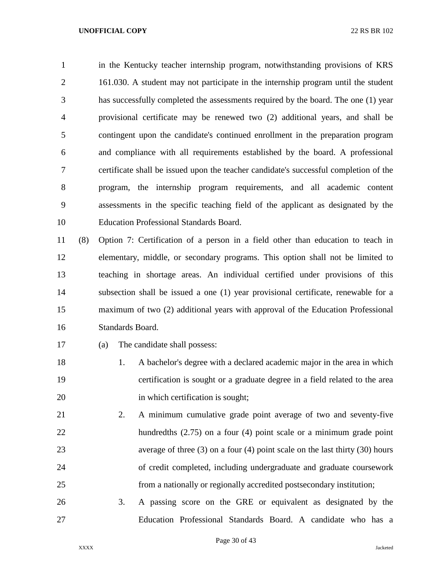in the Kentucky teacher internship program, notwithstanding provisions of KRS 161.030. A student may not participate in the internship program until the student has successfully completed the assessments required by the board. The one (1) year provisional certificate may be renewed two (2) additional years, and shall be contingent upon the candidate's continued enrollment in the preparation program and compliance with all requirements established by the board. A professional certificate shall be issued upon the teacher candidate's successful completion of the program, the internship program requirements, and all academic content assessments in the specific teaching field of the applicant as designated by the Education Professional Standards Board.

 (8) Option 7: Certification of a person in a field other than education to teach in elementary, middle, or secondary programs. This option shall not be limited to teaching in shortage areas. An individual certified under provisions of this subsection shall be issued a one (1) year provisional certificate, renewable for a maximum of two (2) additional years with approval of the Education Professional Standards Board.

- (a) The candidate shall possess:
- 1. A bachelor's degree with a declared academic major in the area in which certification is sought or a graduate degree in a field related to the area 20 in which certification is sought;
- 2. A minimum cumulative grade point average of two and seventy-five hundredths (2.75) on a four (4) point scale or a minimum grade point average of three (3) on a four (4) point scale on the last thirty (30) hours of credit completed, including undergraduate and graduate coursework from a nationally or regionally accredited postsecondary institution;
- 3. A passing score on the GRE or equivalent as designated by the Education Professional Standards Board. A candidate who has a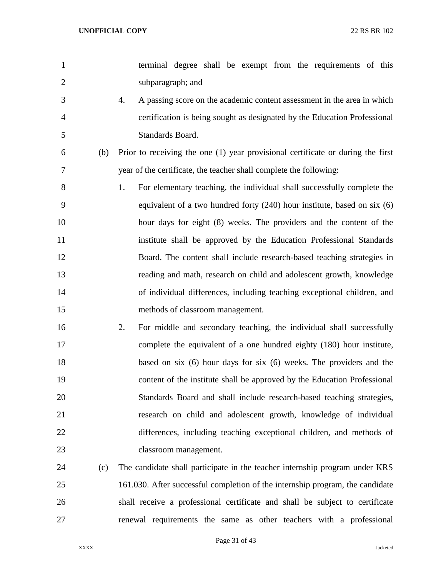| $\mathbf{1}$   |     |    | terminal degree shall be exempt from the requirements of this                   |
|----------------|-----|----|---------------------------------------------------------------------------------|
| $\overline{2}$ |     |    | subparagraph; and                                                               |
| 3              |     | 4. | A passing score on the academic content assessment in the area in which         |
| $\overline{4}$ |     |    | certification is being sought as designated by the Education Professional       |
| 5              |     |    | Standards Board.                                                                |
| 6              | (b) |    | Prior to receiving the one (1) year provisional certificate or during the first |
| 7              |     |    | year of the certificate, the teacher shall complete the following:              |
| 8              |     | 1. | For elementary teaching, the individual shall successfully complete the         |
| 9              |     |    | equivalent of a two hundred forty $(240)$ hour institute, based on six $(6)$    |
| 10             |     |    | hour days for eight (8) weeks. The providers and the content of the             |
| 11             |     |    | institute shall be approved by the Education Professional Standards             |
| 12             |     |    | Board. The content shall include research-based teaching strategies in          |
| 13             |     |    | reading and math, research on child and adolescent growth, knowledge            |
| 14             |     |    | of individual differences, including teaching exceptional children, and         |
| 15             |     |    | methods of classroom management.                                                |
| 16             |     | 2. | For middle and secondary teaching, the individual shall successfully            |
| 17             |     |    | complete the equivalent of a one hundred eighty (180) hour institute,           |
| 18             |     |    | based on six $(6)$ hour days for six $(6)$ weeks. The providers and the         |
| 19             |     |    | content of the institute shall be approved by the Education Professional        |
| 20             |     |    | Standards Board and shall include research-based teaching strategies,           |
| 21             |     |    | research on child and adolescent growth, knowledge of individual                |
| 22             |     |    | differences, including teaching exceptional children, and methods of            |
| 23             |     |    | classroom management.                                                           |
| 24             | (c) |    | The candidate shall participate in the teacher internship program under KRS     |
| 25             |     |    | 161.030. After successful completion of the internship program, the candidate   |

renewal requirements the same as other teachers with a professional

Page 31 of 43

shall receive a professional certificate and shall be subject to certificate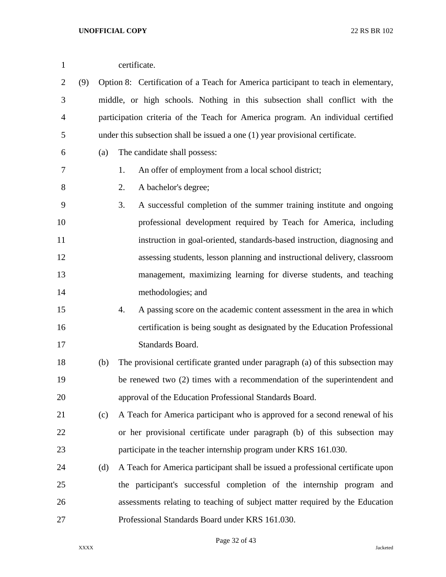| $\mathbf{1}$   |     | certificate. |                                                                                    |  |  |
|----------------|-----|--------------|------------------------------------------------------------------------------------|--|--|
| $\overline{2}$ | (9) |              | Option 8: Certification of a Teach for America participant to teach in elementary, |  |  |
| 3              |     |              | middle, or high schools. Nothing in this subsection shall conflict with the        |  |  |
| 4              |     |              | participation criteria of the Teach for America program. An individual certified   |  |  |
| 5              |     |              | under this subsection shall be issued a one (1) year provisional certificate.      |  |  |
| 6              |     | (a)          | The candidate shall possess:                                                       |  |  |
| 7              |     |              | 1.<br>An offer of employment from a local school district;                         |  |  |
| 8              |     |              | 2.<br>A bachelor's degree;                                                         |  |  |
| 9              |     |              | 3.<br>A successful completion of the summer training institute and ongoing         |  |  |
| 10             |     |              | professional development required by Teach for America, including                  |  |  |
| 11             |     |              | instruction in goal-oriented, standards-based instruction, diagnosing and          |  |  |
| 12             |     |              | assessing students, lesson planning and instructional delivery, classroom          |  |  |
| 13             |     |              | management, maximizing learning for diverse students, and teaching                 |  |  |
| 14             |     |              | methodologies; and                                                                 |  |  |
| 15             |     |              | A passing score on the academic content assessment in the area in which<br>4.      |  |  |
| 16             |     |              | certification is being sought as designated by the Education Professional          |  |  |
| 17             |     |              | Standards Board.                                                                   |  |  |
| 18             |     | (b)          | The provisional certificate granted under paragraph (a) of this subsection may     |  |  |
| 19             |     |              | be renewed two (2) times with a recommendation of the superintendent and           |  |  |
| 20             |     |              | approval of the Education Professional Standards Board.                            |  |  |
| 21             |     | (c)          | A Teach for America participant who is approved for a second renewal of his        |  |  |
| 22             |     |              | or her provisional certificate under paragraph (b) of this subsection may          |  |  |
| 23             |     |              | participate in the teacher internship program under KRS 161.030.                   |  |  |
| 24             |     | (d)          | A Teach for America participant shall be issued a professional certificate upon    |  |  |
| 25             |     |              | the participant's successful completion of the internship program and              |  |  |
| 26             |     |              | assessments relating to teaching of subject matter required by the Education       |  |  |
| 27             |     |              | Professional Standards Board under KRS 161.030.                                    |  |  |

Page 32 of 43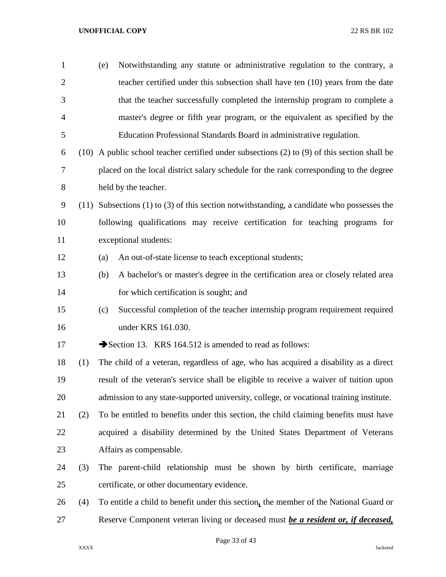| $\mathbf{1}$   |      | (e) | Notwithstanding any statute or administrative regulation to the contrary, a                        |
|----------------|------|-----|----------------------------------------------------------------------------------------------------|
| $\overline{2}$ |      |     | teacher certified under this subsection shall have ten (10) years from the date                    |
| 3              |      |     | that the teacher successfully completed the internship program to complete a                       |
| $\overline{4}$ |      |     | master's degree or fifth year program, or the equivalent as specified by the                       |
| 5              |      |     | Education Professional Standards Board in administrative regulation.                               |
| 6              |      |     | $(10)$ A public school teacher certified under subsections $(2)$ to $(9)$ of this section shall be |
| 7              |      |     | placed on the local district salary schedule for the rank corresponding to the degree              |
| 8              |      |     | held by the teacher.                                                                               |
| 9              | (11) |     | Subsections $(1)$ to $(3)$ of this section notwithstanding, a candidate who possesses the          |
| 10             |      |     | following qualifications may receive certification for teaching programs for                       |
| 11             |      |     | exceptional students:                                                                              |
| 12             |      | (a) | An out-of-state license to teach exceptional students;                                             |
| 13             |      | (b) | A bachelor's or master's degree in the certification area or closely related area                  |
| 14             |      |     | for which certification is sought; and                                                             |
| 15             |      | (c) | Successful completion of the teacher internship program requirement required                       |
| 16             |      |     | under KRS 161.030.                                                                                 |
| 17             |      |     | Section 13. KRS 164.512 is amended to read as follows:                                             |
| 18             | (1)  |     | The child of a veteran, regardless of age, who has acquired a disability as a direct               |
| 19             |      |     | result of the veteran's service shall be eligible to receive a waiver of tuition upon              |
| 20             |      |     | admission to any state-supported university, college, or vocational training institute.            |
| 21             | (2)  |     | To be entitled to benefits under this section, the child claiming benefits must have               |
| 22             |      |     | acquired a disability determined by the United States Department of Veterans                       |
| 23             |      |     | Affairs as compensable.                                                                            |
| 24             | (3)  |     | The parent-child relationship must be shown by birth certificate, marriage                         |
| 25             |      |     | certificate, or other documentary evidence.                                                        |
| 26             | (4)  |     | To entitle a child to benefit under this section, the member of the National Guard or              |
| 27             |      |     | Reserve Component veteran living or deceased must be a resident or, if deceased,                   |

Page 33 of 43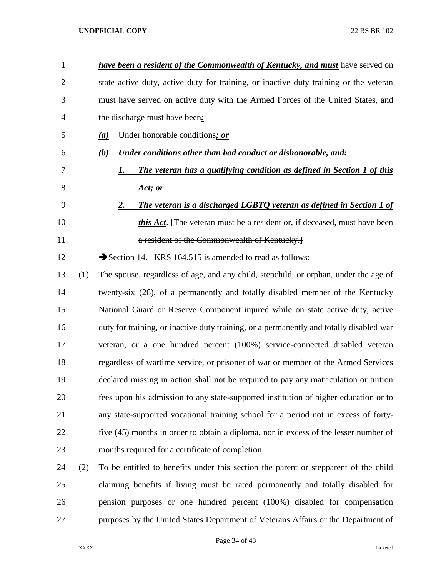| $\mathbf{1}$ |     | <b>have been a resident of the Commonwealth of Kentucky, and must</b> have served on    |
|--------------|-----|-----------------------------------------------------------------------------------------|
| 2            |     | state active duty, active duty for training, or inactive duty training or the veteran   |
| 3            |     | must have served on active duty with the Armed Forces of the United States, and         |
| 4            |     | the discharge must have been:                                                           |
| 5            |     | Under honorable conditions; or<br>(a)                                                   |
| 6            |     | Under conditions other than bad conduct or dishonorable, and:<br>(b)                    |
| 7            |     | The veteran has a qualifying condition as defined in Section 1 of this<br>1.            |
| 8            |     | <u>Act; or</u>                                                                          |
| 9            |     | The veteran is a discharged LGBTQ veteran as defined in Section 1 of<br>2.              |
| 10           |     | this Act. [The veteran must be a resident or, if deceased, must have been               |
| 11           |     | a resident of the Commonwealth of Kentucky.]                                            |
| 12           |     | Section 14. KRS 164.515 is amended to read as follows:                                  |
| 13           | (1) | The spouse, regardless of age, and any child, stepchild, or orphan, under the age of    |
| 14           |     | twenty-six (26), of a permanently and totally disabled member of the Kentucky           |
| 15           |     | National Guard or Reserve Component injured while on state active duty, active          |
| 16           |     | duty for training, or inactive duty training, or a permanently and totally disabled war |
| 17           |     | veteran, or a one hundred percent (100%) service-connected disabled veteran             |
| 18           |     | regardless of wartime service, or prisoner of war or member of the Armed Services       |
| 19           |     | declared missing in action shall not be required to pay any matriculation or tuition    |
| 20           |     | fees upon his admission to any state-supported institution of higher education or to    |
| 21           |     | any state-supported vocational training school for a period not in excess of forty-     |
| 22           |     | five (45) months in order to obtain a diploma, nor in excess of the lesser number of    |
| 23           |     | months required for a certificate of completion.                                        |
| 24           | (2) | To be entitled to benefits under this section the parent or stepparent of the child     |
| 25           |     | claiming benefits if living must be rated permanently and totally disabled for          |

purposes by the United States Department of Veterans Affairs or the Department of

Page 34 of 43

pension purposes or one hundred percent (100%) disabled for compensation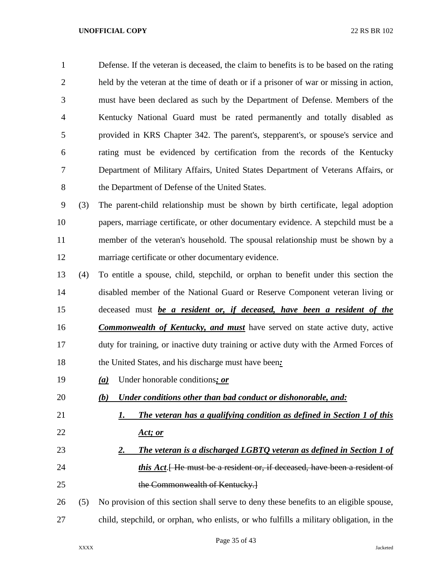Defense. If the veteran is deceased, the claim to benefits is to be based on the rating held by the veteran at the time of death or if a prisoner of war or missing in action, must have been declared as such by the Department of Defense. Members of the Kentucky National Guard must be rated permanently and totally disabled as provided in KRS Chapter 342. The parent's, stepparent's, or spouse's service and rating must be evidenced by certification from the records of the Kentucky Department of Military Affairs, United States Department of Veterans Affairs, or 8 the Department of Defense of the United States.

 (3) The parent-child relationship must be shown by birth certificate, legal adoption papers, marriage certificate, or other documentary evidence. A stepchild must be a member of the veteran's household. The spousal relationship must be shown by a marriage certificate or other documentary evidence.

 (4) To entitle a spouse, child, stepchild, or orphan to benefit under this section the disabled member of the National Guard or Reserve Component veteran living or

deceased must *be a resident or, if deceased, have been a resident of the* 

*Commonwealth of Kentucky, and must* have served on state active duty, active

 duty for training, or inactive duty training or active duty with the Armed Forces of the United States, and his discharge must have been*:*

- *(a)* Under honorable conditions*; or*
- *(b) Under conditions other than bad conduct or dishonorable, and:*
- *1. The veteran has a qualifying condition as defined in Section 1 of this Act; or*
- *2. The veteran is a discharged LGBTQ veteran as defined in Section 1 of this Act*. He must be a resident or, if deceased, have been a resident of 25 the Commonwealth of Kentucky.

 (5) No provision of this section shall serve to deny these benefits to an eligible spouse, child, stepchild, or orphan, who enlists, or who fulfills a military obligation, in the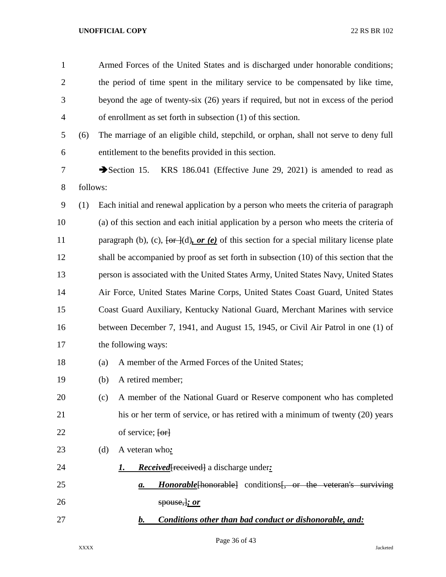| $\mathbf{1}$   |          | Armed Forces of the United States and is discharged under honorable conditions;                                |  |  |
|----------------|----------|----------------------------------------------------------------------------------------------------------------|--|--|
| $\overline{2}$ |          | the period of time spent in the military service to be compensated by like time,                               |  |  |
| 3              |          | beyond the age of twenty-six (26) years if required, but not in excess of the period                           |  |  |
| 4              |          | of enrollment as set forth in subsection (1) of this section.                                                  |  |  |
| 5              | (6)      | The marriage of an eligible child, stepchild, or orphan, shall not serve to deny full                          |  |  |
| 6              |          | entitlement to the benefits provided in this section.                                                          |  |  |
| 7              |          | KRS 186.041 (Effective June 29, 2021) is amended to read as<br>Section 15.                                     |  |  |
| 8              | follows: |                                                                                                                |  |  |
| 9              | (1)      | Each initial and renewal application by a person who meets the criteria of paragraph                           |  |  |
| 10             |          | (a) of this section and each initial application by a person who meets the criteria of                         |  |  |
| 11             |          | paragraph (b), (c), $\overline{\text{ter }d}$ (d), or (e) of this section for a special military license plate |  |  |
| 12             |          | shall be accompanied by proof as set forth in subsection (10) of this section that the                         |  |  |
| 13             |          | person is associated with the United States Army, United States Navy, United States                            |  |  |
| 14             |          | Air Force, United States Marine Corps, United States Coast Guard, United States                                |  |  |
| 15             |          | Coast Guard Auxiliary, Kentucky National Guard, Merchant Marines with service                                  |  |  |
| 16             |          | between December 7, 1941, and August 15, 1945, or Civil Air Patrol in one (1) of                               |  |  |
| 17             |          | the following ways:                                                                                            |  |  |
| 18             |          | A member of the Armed Forces of the United States;<br>(a)                                                      |  |  |
| 19             |          | A retired member;<br>(b)                                                                                       |  |  |
| 20             |          | A member of the National Guard or Reserve component who has completed<br>(c)                                   |  |  |
| 21             |          | his or her term of service, or has retired with a minimum of twenty (20) years                                 |  |  |
| 22             |          | of service; [or]                                                                                               |  |  |
| 23             |          | A veteran who:<br>(d)                                                                                          |  |  |
| 24             |          | <b>Received</b> received a discharge under:<br>1.                                                              |  |  |
| 25             |          | <b>Honorable</b> [honorable] conditions [, or the veteran's surviving<br><u>a.</u>                             |  |  |
| 26             |          | spouse, j; or                                                                                                  |  |  |
| 27             |          | Conditions other than bad conduct or dishonorable, and:<br>$\bm{b}$ .                                          |  |  |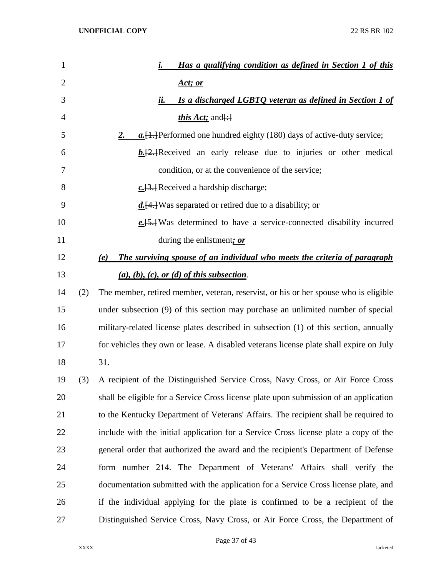| $\mathbf{1}$   |     | Has a qualifying condition as defined in Section 1 of this<br>i.                       |
|----------------|-----|----------------------------------------------------------------------------------------|
| $\overline{2}$ |     | <u>Act; or</u>                                                                         |
| 3              |     | Is a discharged LGBTO veteran as defined in Section 1 of<br>ii.                        |
| 4              |     | <i>this Act</i> ; and $\left[\cdot\right]$                                             |
| 5              |     | $a. [1.]$ Performed one hundred eighty (180) days of active-duty service;<br><u>2.</u> |
| 6              |     | $\underline{b}$ . [2.] Received an early release due to injuries or other medical      |
| 7              |     | condition, or at the convenience of the service;                                       |
| 8              |     | $c. [3.]$ Received a hardship discharge;                                               |
| 9              |     | $\underline{d}$ . [4.] Was separated or retired due to a disability; or                |
| 10             |     | $e.\overline{5}$ . Was determined to have a service-connected disability incurred      |
| 11             |     | during the enlistment; or                                                              |
| 12             |     | The surviving spouse of an individual who meets the criteria of paragraph<br>(e)       |
| 13             |     | $(a), (b), (c), or (d)$ of this subsection.                                            |
| 14             | (2) | The member, retired member, veteran, reservist, or his or her spouse who is eligible   |
| 15             |     | under subsection (9) of this section may purchase an unlimited number of special       |
| 16             |     | military-related license plates described in subsection (1) of this section, annually  |
| 17             |     | for vehicles they own or lease. A disabled veterans license plate shall expire on July |
| 18             |     | 31.                                                                                    |
| 19             | (3) | A recipient of the Distinguished Service Cross, Navy Cross, or Air Force Cross         |
| 20             |     | shall be eligible for a Service Cross license plate upon submission of an application  |
| 21             |     | to the Kentucky Department of Veterans' Affairs. The recipient shall be required to    |
| 22             |     | include with the initial application for a Service Cross license plate a copy of the   |
| 23             |     | general order that authorized the award and the recipient's Department of Defense      |
| 24             |     | form number 214. The Department of Veterans' Affairs shall verify the                  |
| 25             |     | documentation submitted with the application for a Service Cross license plate, and    |
| 26             |     | if the individual applying for the plate is confirmed to be a recipient of the         |
| 27             |     | Distinguished Service Cross, Navy Cross, or Air Force Cross, the Department of         |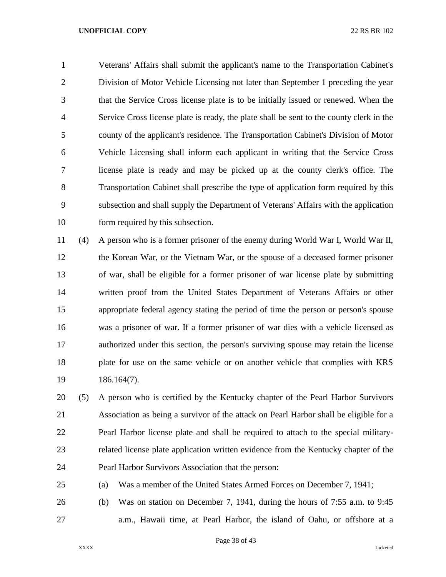Veterans' Affairs shall submit the applicant's name to the Transportation Cabinet's Division of Motor Vehicle Licensing not later than September 1 preceding the year that the Service Cross license plate is to be initially issued or renewed. When the Service Cross license plate is ready, the plate shall be sent to the county clerk in the county of the applicant's residence. The Transportation Cabinet's Division of Motor Vehicle Licensing shall inform each applicant in writing that the Service Cross license plate is ready and may be picked up at the county clerk's office. The Transportation Cabinet shall prescribe the type of application form required by this subsection and shall supply the Department of Veterans' Affairs with the application form required by this subsection.

 (4) A person who is a former prisoner of the enemy during World War I, World War II, the Korean War, or the Vietnam War, or the spouse of a deceased former prisoner of war, shall be eligible for a former prisoner of war license plate by submitting written proof from the United States Department of Veterans Affairs or other appropriate federal agency stating the period of time the person or person's spouse was a prisoner of war. If a former prisoner of war dies with a vehicle licensed as authorized under this section, the person's surviving spouse may retain the license plate for use on the same vehicle or on another vehicle that complies with KRS 186.164(7).

 (5) A person who is certified by the Kentucky chapter of the Pearl Harbor Survivors Association as being a survivor of the attack on Pearl Harbor shall be eligible for a Pearl Harbor license plate and shall be required to attach to the special military- related license plate application written evidence from the Kentucky chapter of the Pearl Harbor Survivors Association that the person:

(a) Was a member of the United States Armed Forces on December 7, 1941;

 (b) Was on station on December 7, 1941, during the hours of 7:55 a.m. to 9:45 a.m., Hawaii time, at Pearl Harbor, the island of Oahu, or offshore at a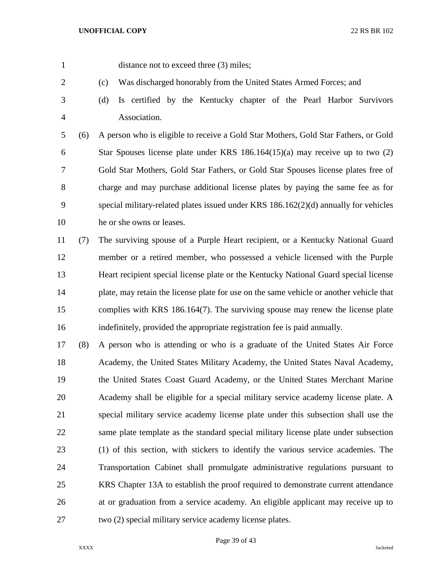1 distance not to exceed three (3) miles;

- (c) Was discharged honorably from the United States Armed Forces; and
- 

 (d) Is certified by the Kentucky chapter of the Pearl Harbor Survivors Association.

 (6) A person who is eligible to receive a Gold Star Mothers, Gold Star Fathers, or Gold Star Spouses license plate under KRS 186.164(15)(a) may receive up to two (2) Gold Star Mothers, Gold Star Fathers, or Gold Star Spouses license plates free of charge and may purchase additional license plates by paying the same fee as for special military-related plates issued under KRS 186.162(2)(d) annually for vehicles he or she owns or leases.

 (7) The surviving spouse of a Purple Heart recipient, or a Kentucky National Guard member or a retired member, who possessed a vehicle licensed with the Purple Heart recipient special license plate or the Kentucky National Guard special license plate, may retain the license plate for use on the same vehicle or another vehicle that complies with KRS 186.164(7). The surviving spouse may renew the license plate indefinitely, provided the appropriate registration fee is paid annually.

 (8) A person who is attending or who is a graduate of the United States Air Force Academy, the United States Military Academy, the United States Naval Academy, the United States Coast Guard Academy, or the United States Merchant Marine Academy shall be eligible for a special military service academy license plate. A special military service academy license plate under this subsection shall use the same plate template as the standard special military license plate under subsection (1) of this section, with stickers to identify the various service academies. The Transportation Cabinet shall promulgate administrative regulations pursuant to KRS Chapter 13A to establish the proof required to demonstrate current attendance at or graduation from a service academy. An eligible applicant may receive up to two (2) special military service academy license plates.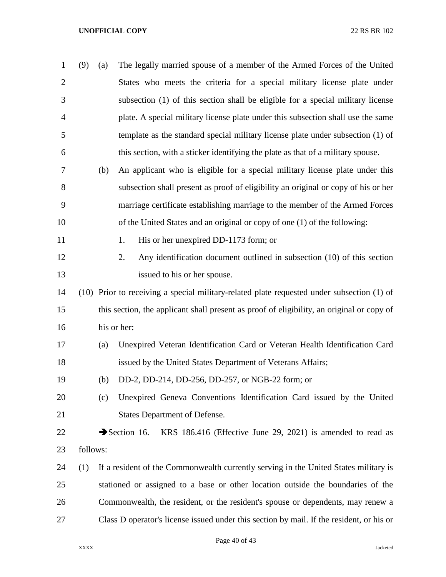| $\mathbf{1}$   | (9)      | (a) | The legally married spouse of a member of the Armed Forces of the United                   |
|----------------|----------|-----|--------------------------------------------------------------------------------------------|
| $\overline{2}$ |          |     | States who meets the criteria for a special military license plate under                   |
| 3              |          |     | subsection (1) of this section shall be eligible for a special military license            |
| 4              |          |     | plate. A special military license plate under this subsection shall use the same           |
| 5              |          |     | template as the standard special military license plate under subsection (1) of            |
| 6              |          |     | this section, with a sticker identifying the plate as that of a military spouse.           |
| 7              |          | (b) | An applicant who is eligible for a special military license plate under this               |
| 8              |          |     | subsection shall present as proof of eligibility an original or copy of his or her         |
| 9              |          |     | marriage certificate establishing marriage to the member of the Armed Forces               |
| 10             |          |     | of the United States and an original or copy of one (1) of the following:                  |
| 11             |          |     | His or her unexpired DD-1173 form; or<br>1.                                                |
| 12             |          |     | 2.<br>Any identification document outlined in subsection (10) of this section              |
| 13             |          |     | issued to his or her spouse.                                                               |
| 14             |          |     | (10) Prior to receiving a special military-related plate requested under subsection (1) of |
| 15             |          |     | this section, the applicant shall present as proof of eligibility, an original or copy of  |
| 16             |          |     | his or her:                                                                                |
| 17             |          | (a) | Unexpired Veteran Identification Card or Veteran Health Identification Card                |
| 18             |          |     | issued by the United States Department of Veterans Affairs;                                |
| 19             |          | (b) | DD-2, DD-214, DD-256, DD-257, or NGB-22 form; or                                           |
| 20             |          | (c) | Unexpired Geneva Conventions Identification Card issued by the United                      |
| 21             |          |     | <b>States Department of Defense.</b>                                                       |
| 22             |          |     | KRS 186.416 (Effective June 29, 2021) is amended to read as<br>$\rightarrow$ Section 16.   |
| 23             | follows: |     |                                                                                            |
| 24             | (1)      |     | If a resident of the Commonwealth currently serving in the United States military is       |
| 25             |          |     | stationed or assigned to a base or other location outside the boundaries of the            |
| 26             |          |     | Commonwealth, the resident, or the resident's spouse or dependents, may renew a            |
| 27             |          |     | Class D operator's license issued under this section by mail. If the resident, or his or   |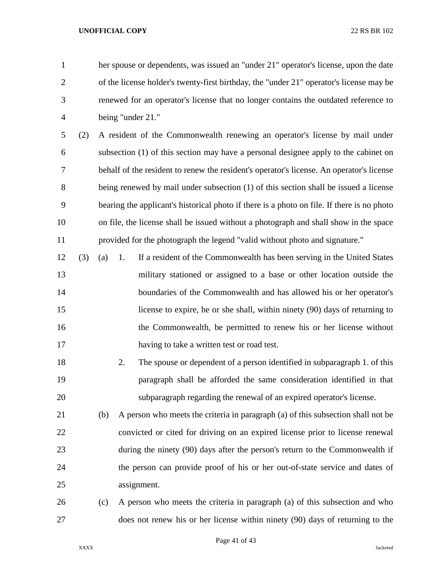her spouse or dependents, was issued an "under 21" operator's license, upon the date of the license holder's twenty-first birthday, the "under 21" operator's license may be renewed for an operator's license that no longer contains the outdated reference to being "under 21."

 (2) A resident of the Commonwealth renewing an operator's license by mail under subsection (1) of this section may have a personal designee apply to the cabinet on behalf of the resident to renew the resident's operator's license. An operator's license being renewed by mail under subsection (1) of this section shall be issued a license bearing the applicant's historical photo if there is a photo on file. If there is no photo on file, the license shall be issued without a photograph and shall show in the space provided for the photograph the legend "valid without photo and signature."

- (3) (a) 1. If a resident of the Commonwealth has been serving in the United States military stationed or assigned to a base or other location outside the boundaries of the Commonwealth and has allowed his or her operator's license to expire, he or she shall, within ninety (90) days of returning to the Commonwealth, be permitted to renew his or her license without having to take a written test or road test.
- 2. The spouse or dependent of a person identified in subparagraph 1. of this paragraph shall be afforded the same consideration identified in that subparagraph regarding the renewal of an expired operator's license.

 (b) A person who meets the criteria in paragraph (a) of this subsection shall not be convicted or cited for driving on an expired license prior to license renewal during the ninety (90) days after the person's return to the Commonwealth if the person can provide proof of his or her out-of-state service and dates of assignment.

 (c) A person who meets the criteria in paragraph (a) of this subsection and who does not renew his or her license within ninety (90) days of returning to the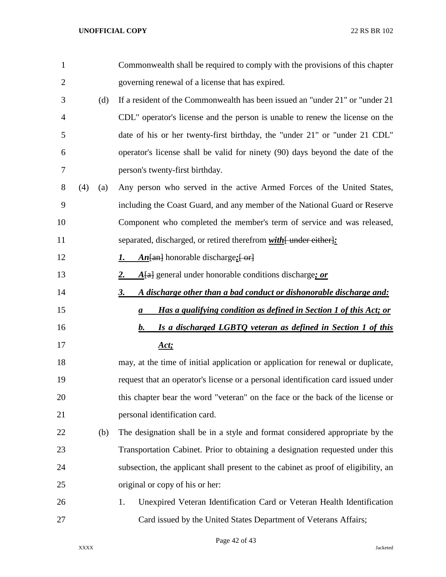| $\mathbf{1}$   |            | Commonwealth shall be required to comply with the provisions of this chapter       |
|----------------|------------|------------------------------------------------------------------------------------|
| $\overline{2}$ |            | governing renewal of a license that has expired.                                   |
| 3              | (d)        | If a resident of the Commonwealth has been issued an "under 21" or "under 21"      |
| 4              |            | CDL" operator's license and the person is unable to renew the license on the       |
| 5              |            | date of his or her twenty-first birthday, the "under 21" or "under 21 CDL"         |
| 6              |            | operator's license shall be valid for ninety (90) days beyond the date of the      |
| 7              |            | person's twenty-first birthday.                                                    |
| 8              | (4)<br>(a) | Any person who served in the active Armed Forces of the United States,             |
| 9              |            | including the Coast Guard, and any member of the National Guard or Reserve         |
| 10             |            | Component who completed the member's term of service and was released,             |
| 11             |            | separated, discharged, or retired therefrom with [ under either]:                  |
| 12             |            | $An$ [an] honorable discharge; [ or]<br>1.                                         |
| 13             |            | $A[a]$ general under honorable conditions discharge; or<br>2.                      |
| 14             |            | A discharge other than a bad conduct or dishonorable discharge and:<br><u>3.</u>   |
| 15             |            | Has a qualifying condition as defined in Section 1 of this Act; or<br>a            |
| 16             |            | Is a discharged LGBTQ veteran as defined in Section 1 of this<br>b.                |
| 17             |            | Act:                                                                               |
| 18             |            | may, at the time of initial application or application for renewal or duplicate,   |
| 19             |            | request that an operator's license or a personal identification card issued under  |
| 20             |            | this chapter bear the word "veteran" on the face or the back of the license or     |
| 21             |            | personal identification card.                                                      |
| 22             | (b)        | The designation shall be in a style and format considered appropriate by the       |
| 23             |            | Transportation Cabinet. Prior to obtaining a designation requested under this      |
| 24             |            | subsection, the applicant shall present to the cabinet as proof of eligibility, an |
| 25             |            | original or copy of his or her:                                                    |
| 26             |            | Unexpired Veteran Identification Card or Veteran Health Identification<br>1.       |
| 27             |            | Card issued by the United States Department of Veterans Affairs;                   |

Page 42 of 43